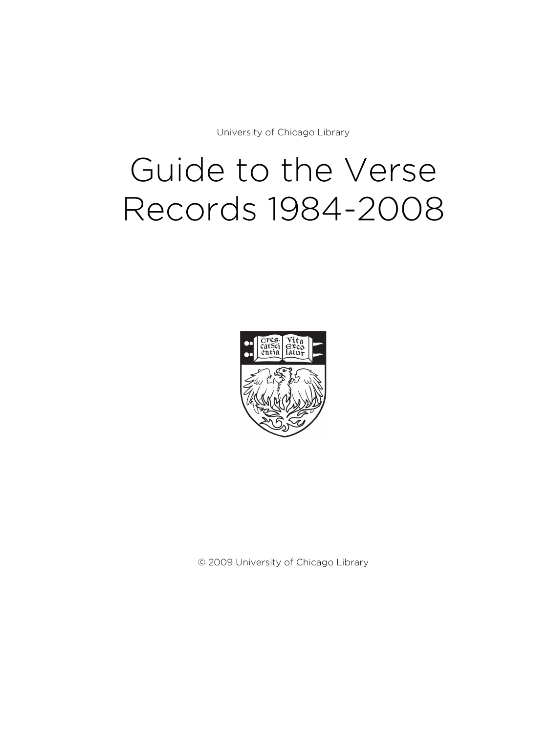University of Chicago Library

# Guide to the Verse Records 1984-2008



© 2009 University of Chicago Library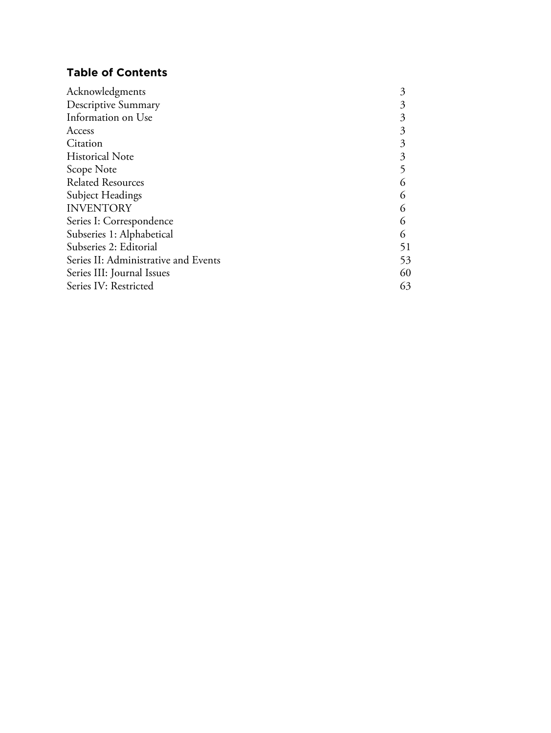### **Table of Contents**

| Acknowledgments                      | 3  |
|--------------------------------------|----|
| Descriptive Summary                  | 3  |
| Information on Use                   | 3  |
| Access                               | 3  |
| Citation                             | 3  |
| <b>Historical Note</b>               | 3  |
| Scope Note                           |    |
| <b>Related Resources</b>             | 6  |
| Subject Headings                     | 6  |
| <b>INVENTORY</b>                     | 6  |
| Series I: Correspondence             | 6  |
| Subseries 1: Alphabetical            | 6  |
| Subseries 2: Editorial               | 51 |
| Series II: Administrative and Events | 53 |
| Series III: Journal Issues           | 60 |
| Series IV: Restricted                | 63 |
|                                      |    |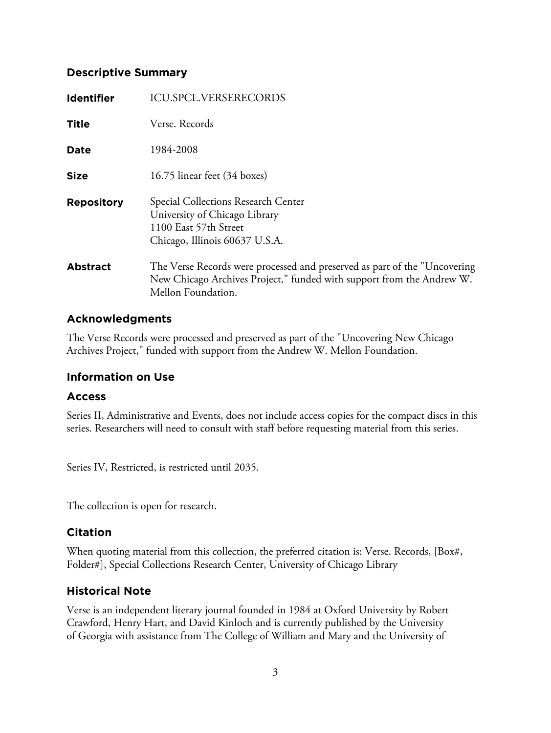### **Descriptive Summary**

| <b>Identifier</b> | <b>ICU.SPCL.VERSERECORDS</b>                                                                                                                                             |
|-------------------|--------------------------------------------------------------------------------------------------------------------------------------------------------------------------|
| <b>Title</b>      | Verse. Records                                                                                                                                                           |
| <b>Date</b>       | 1984-2008                                                                                                                                                                |
| <b>Size</b>       | 16.75 linear feet (34 boxes)                                                                                                                                             |
| <b>Repository</b> | Special Collections Research Center<br>University of Chicago Library<br>1100 East 57th Street<br>Chicago, Illinois 60637 U.S.A.                                          |
| <b>Abstract</b>   | The Verse Records were processed and preserved as part of the "Uncovering<br>New Chicago Archives Project," funded with support from the Andrew W.<br>Mellon Foundation. |

### **Acknowledgments**

The Verse Records were processed and preserved as part of the "Uncovering New Chicago Archives Project," funded with support from the Andrew W. Mellon Foundation.

### **Information on Use**

### **Access**

Series II, Administrative and Events, does not include access copies for the compact discs in this series. Researchers will need to consult with staff before requesting material from this series.

Series IV, Restricted, is restricted until 2035.

The collection is open for research.

### **Citation**

When quoting material from this collection, the preferred citation is: Verse. Records, [Box#, Folder#], Special Collections Research Center, University of Chicago Library

### **Historical Note**

Verse is an independent literary journal founded in 1984 at Oxford University by Robert Crawford, Henry Hart, and David Kinloch and is currently published by the University of Georgia with assistance from The College of William and Mary and the University of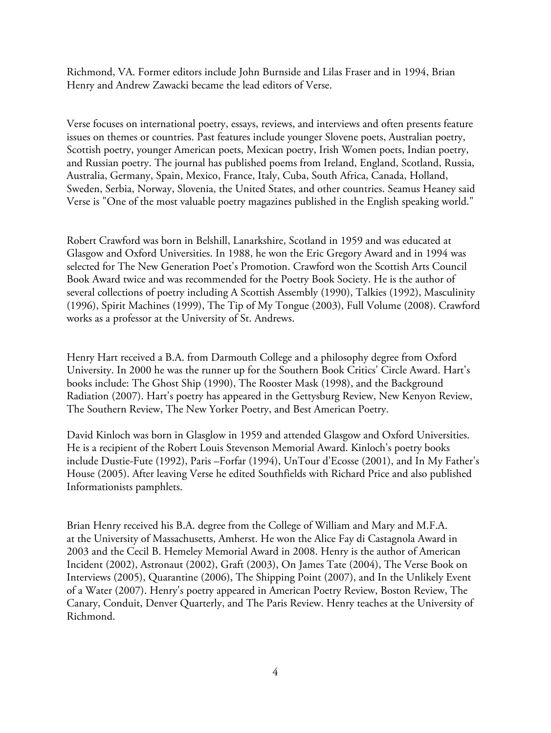Richmond, VA. Former editors include John Burnside and Lilas Fraser and in 1994, Brian Henry and Andrew Zawacki became the lead editors of Verse.

Verse focuses on international poetry, essays, reviews, and interviews and often presents feature issues on themes or countries. Past features include younger Slovene poets, Australian poetry, Scottish poetry, younger American poets, Mexican poetry, Irish Women poets, Indian poetry, and Russian poetry. The journal has published poems from Ireland, England, Scotland, Russia, Australia, Germany, Spain, Mexico, France, Italy, Cuba, South Africa, Canada, Holland, Sweden, Serbia, Norway, Slovenia, the United States, and other countries. Seamus Heaney said Verse is "One of the most valuable poetry magazines published in the English speaking world."

Robert Crawford was born in Belshill, Lanarkshire, Scotland in 1959 and was educated at Glasgow and Oxford Universities. In 1988, he won the Eric Gregory Award and in 1994 was selected for The New Generation Poet's Promotion. Crawford won the Scottish Arts Council Book Award twice and was recommended for the Poetry Book Society. He is the author of several collections of poetry including A Scottish Assembly (1990), Talkies (1992), Masculinity (1996), Spirit Machines (1999), The Tip of My Tongue (2003), Full Volume (2008). Crawford works as a professor at the University of St. Andrews.

Henry Hart received a B.A. from Darmouth College and a philosophy degree from Oxford University. In 2000 he was the runner up for the Southern Book Critics' Circle Award. Hart's books include: The Ghost Ship (1990), The Rooster Mask (1998), and the Background Radiation (2007). Hart's poetry has appeared in the Gettysburg Review, New Kenyon Review, The Southern Review, The New Yorker Poetry, and Best American Poetry.

David Kinloch was born in Glasglow in 1959 and attended Glasgow and Oxford Universities. He is a recipient of the Robert Louis Stevenson Memorial Award. Kinloch's poetry books include Dustie-Fute (1992), Paris –Forfar (1994), UnTour d'Ecosse (2001), and In My Father's House (2005). After leaving Verse he edited Southfields with Richard Price and also published Informationists pamphlets.

Brian Henry received his B.A. degree from the College of William and Mary and M.F.A. at the University of Massachusetts, Amherst. He won the Alice Fay di Castagnola Award in 2003 and the Cecil B. Hemeley Memorial Award in 2008. Henry is the author of American Incident (2002), Astronaut (2002), Graft (2003), On James Tate (2004), The Verse Book on Interviews (2005), Quarantine (2006), The Shipping Point (2007), and In the Unlikely Event of a Water (2007). Henry's poetry appeared in American Poetry Review, Boston Review, The Canary, Conduit, Denver Quarterly, and The Paris Review. Henry teaches at the University of Richmond.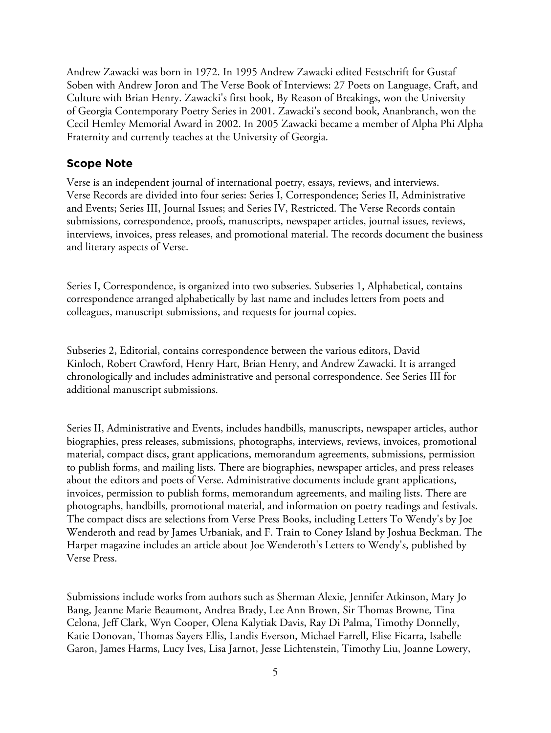Andrew Zawacki was born in 1972. In 1995 Andrew Zawacki edited Festschrift for Gustaf Soben with Andrew Joron and The Verse Book of Interviews: 27 Poets on Language, Craft, and Culture with Brian Henry. Zawacki's first book, By Reason of Breakings, won the University of Georgia Contemporary Poetry Series in 2001. Zawacki's second book, Ananbranch, won the Cecil Hemley Memorial Award in 2002. In 2005 Zawacki became a member of Alpha Phi Alpha Fraternity and currently teaches at the University of Georgia.

#### **Scope Note**

Verse is an independent journal of international poetry, essays, reviews, and interviews. Verse Records are divided into four series: Series I, Correspondence; Series II, Administrative and Events; Series III, Journal Issues; and Series IV, Restricted. The Verse Records contain submissions, correspondence, proofs, manuscripts, newspaper articles, journal issues, reviews, interviews, invoices, press releases, and promotional material. The records document the business and literary aspects of Verse.

Series I, Correspondence, is organized into two subseries. Subseries 1, Alphabetical, contains correspondence arranged alphabetically by last name and includes letters from poets and colleagues, manuscript submissions, and requests for journal copies.

Subseries 2, Editorial, contains correspondence between the various editors, David Kinloch, Robert Crawford, Henry Hart, Brian Henry, and Andrew Zawacki. It is arranged chronologically and includes administrative and personal correspondence. See Series III for additional manuscript submissions.

Series II, Administrative and Events, includes handbills, manuscripts, newspaper articles, author biographies, press releases, submissions, photographs, interviews, reviews, invoices, promotional material, compact discs, grant applications, memorandum agreements, submissions, permission to publish forms, and mailing lists. There are biographies, newspaper articles, and press releases about the editors and poets of Verse. Administrative documents include grant applications, invoices, permission to publish forms, memorandum agreements, and mailing lists. There are photographs, handbills, promotional material, and information on poetry readings and festivals. The compact discs are selections from Verse Press Books, including Letters To Wendy's by Joe Wenderoth and read by James Urbaniak, and F. Train to Coney Island by Joshua Beckman. The Harper magazine includes an article about Joe Wenderoth's Letters to Wendy's, published by Verse Press.

Submissions include works from authors such as Sherman Alexie, Jennifer Atkinson, Mary Jo Bang, Jeanne Marie Beaumont, Andrea Brady, Lee Ann Brown, Sir Thomas Browne, Tina Celona, Jeff Clark, Wyn Cooper, Olena Kalytiak Davis, Ray Di Palma, Timothy Donnelly, Katie Donovan, Thomas Sayers Ellis, Landis Everson, Michael Farrell, Elise Ficarra, Isabelle Garon, James Harms, Lucy Ives, Lisa Jarnot, Jesse Lichtenstein, Timothy Liu, Joanne Lowery,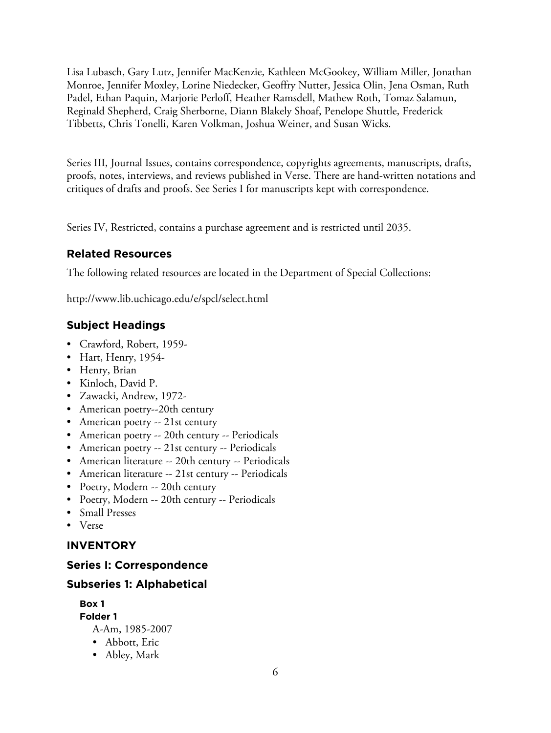Lisa Lubasch, Gary Lutz, Jennifer MacKenzie, Kathleen McGookey, William Miller, Jonathan Monroe, Jennifer Moxley, Lorine Niedecker, Geoffry Nutter, Jessica Olin, Jena Osman, Ruth Padel, Ethan Paquin, Marjorie Perloff, Heather Ramsdell, Mathew Roth, Tomaz Salamun, Reginald Shepherd, Craig Sherborne, Diann Blakely Shoaf, Penelope Shuttle, Frederick Tibbetts, Chris Tonelli, Karen Volkman, Joshua Weiner, and Susan Wicks.

Series III, Journal Issues, contains correspondence, copyrights agreements, manuscripts, drafts, proofs, notes, interviews, and reviews published in Verse. There are hand-written notations and critiques of drafts and proofs. See Series I for manuscripts kept with correspondence.

Series IV, Restricted, contains a purchase agreement and is restricted until 2035.

### **Related Resources**

The following related resources are located in the Department of Special Collections:

http://www.lib.uchicago.edu/e/spcl/select.html

### **Subject Headings**

- Crawford, Robert, 1959-
- Hart, Henry, 1954-
- Henry, Brian
- Kinloch, David P.
- Zawacki, Andrew, 1972-
- American poetry--20th century
- American poetry -- 21st century
- American poetry -- 20th century -- Periodicals
- American poetry -- 21st century -- Periodicals
- American literature -- 20th century -- Periodicals
- American literature -- 21st century -- Periodicals
- Poetry, Modern -- 20th century
- Poetry, Modern -- 20th century -- Periodicals
- Small Presses
- Verse

### **INVENTORY**

### **Series I: Correspondence**

### **Subseries 1: Alphabetical**

**Box 1**

**Folder 1** A-Am, 1985-2007

- Abbott, Eric
- Abley, Mark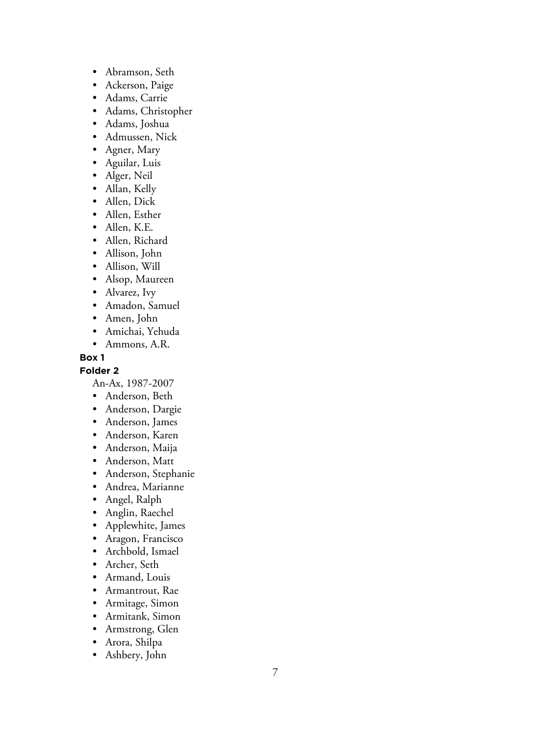- Abramson, Seth
- Ackerson, Paige
- Adams, Carrie
- Adams, Christopher
- Adams, Joshua
- Admussen, Nick
- Agner, Mary
- Aguilar, Luis
- Alger, Neil
- Allan, Kelly
- Allen, Dick
- Allen, Esther
- Allen, K.E.
- Allen, Richard
- Allison, John
- Allison, Will
- Alsop, Maureen
- Alvarez, Ivy
- Amadon, Samuel
- Amen, John
- Amichai, Yehuda
- Ammons, A.R.

### **Folder 2**

An-Ax, 1987-2007

- Anderson, Beth
- Anderson, Dargie
- Anderson, James
- Anderson, Karen
- Anderson, Maija
- Anderson, Matt
- Anderson, Stephanie
- Andrea, Marianne
- Angel, Ralph
- Anglin, Raechel
- Applewhite, James
- Aragon, Francisco
- Archbold, Ismael
- Archer, Seth
- Armand, Louis
- Armantrout, Rae
- Armitage, Simon
- Armitank, Simon
- Armstrong, Glen
- Arora, Shilpa
- Ashbery, John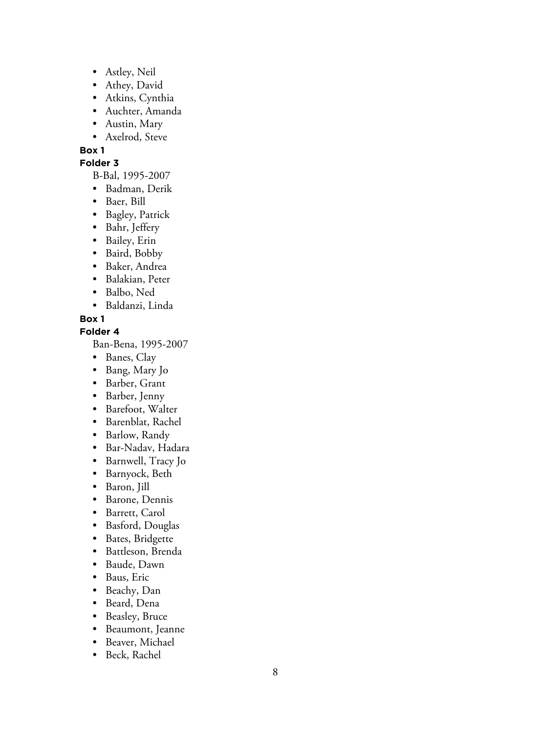- Astley, Neil
- Athey, David
- Atkins, Cynthia
- Auchter, Amanda
- Austin, Mary
- Axelrod, Steve

### **Folder 3**

B-Bal, 1995-2007

- Badman, Derik
- Baer, Bill
- Bagley, Patrick
- Bahr, Jeffery
- Bailey, Erin
- Baird, Bobby
- Baker, Andrea
- Balakian, Peter
- Balbo, Ned
- Baldanzi, Linda

### **Box 1**

### **Folder 4**

Ban-Bena, 1995-2007

- Banes, Clay
- Bang, Mary Jo
- Barber, Grant
- Barber, Jenny
- Barefoot, Walter
- Barenblat, Rachel
- Barlow, Randy
- Bar-Nadav, Hadara
- Barnwell, Tracy Jo
- Barnyock, Beth
- Baron, Jill
- Barone, Dennis
- Barrett, Carol
- Basford, Douglas
- Bates, Bridgette
- Battleson, Brenda
- Baude, Dawn
- Baus, Eric
- Beachy, Dan
- Beard, Dena
- Beasley, Bruce
- Beaumont, Jeanne
- Beaver, Michael
- Beck, Rachel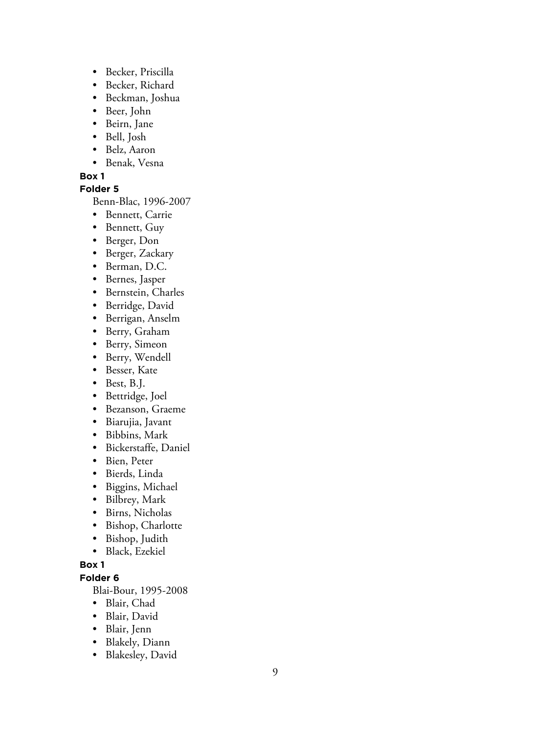- Becker, Priscilla
- Becker, Richard
- Beckman, Joshua
- Beer, John
- Beirn, Jane
- Bell, Josh
- Belz, Aaron
- Benak, Vesna

### **Folder 5**

Benn-Blac, 1996-2007

- Bennett, Carrie
- Bennett, Guy
- Berger, Don
- Berger, Zackary
- Berman, D.C.
- Bernes, Jasper
- Bernstein, Charles
- Berridge, David
- Berrigan, Anselm
- Berry, Graham
- Berry, Simeon
- Berry, Wendell
- Besser, Kate
- Best, B.J.
- Bettridge, Joel
- Bezanson, Graeme
- Biarujia, Javant
- Bibbins, Mark
- Bickerstaffe, Daniel
- Bien, Peter
- Bierds, Linda
- Biggins, Michael
- Bilbrey, Mark
- Birns, Nicholas
- Bishop, Charlotte
- Bishop, Judith
- Black, Ezekiel

### **Box 1**

### **Folder 6**

Blai-Bour, 1995-2008

- Blair, Chad
- Blair, David
- Blair, Jenn
- Blakely, Diann
- Blakesley, David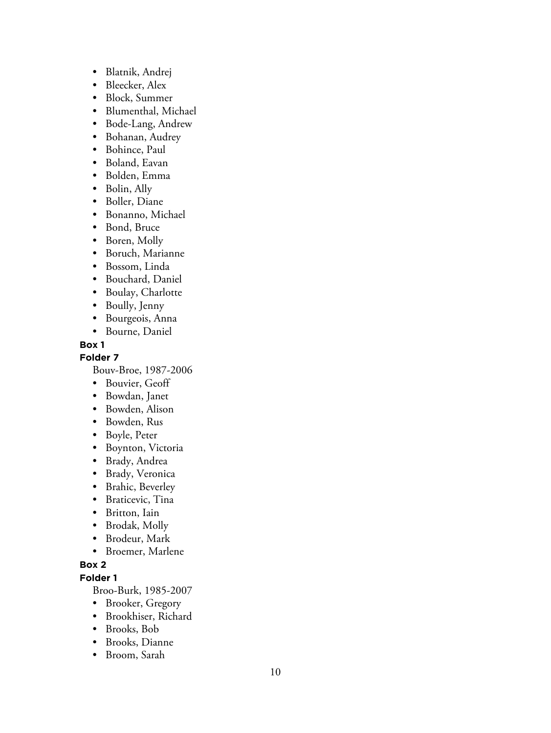- Blatnik, Andrej
- Bleecker, Alex
- Block, Summer
- Blumenthal, Michael
- Bode-Lang, Andrew
- Bohanan, Audrey
- Bohince, Paul
- Boland, Eavan
- Bolden, Emma
- Bolin, Ally
- Boller, Diane
- Bonanno, Michael
- Bond, Bruce
- Boren, Molly
- Boruch, Marianne
- Bossom, Linda
- Bouchard, Daniel
- Boulay, Charlotte
- Boully, Jenny
- Bourgeois, Anna
- Bourne, Daniel

**Folder 7**

Bouv-Broe, 1987-2006

- Bouvier, Geoff
- Bowdan, Janet
- Bowden, Alison
- Bowden, Rus
- Boyle, Peter
- Boynton, Victoria
- Brady, Andrea
- Brady, Veronica
- Brahic, Beverley
- Braticevic, Tina
- Britton, Iain
- Brodak, Molly
- Brodeur, Mark
- Broemer, Marlene

### **Box 2**

**Folder 1**

Broo-Burk, 1985-2007

- Brooker, Gregory
- Brookhiser, Richard
- Brooks, Bob
- Brooks, Dianne
- Broom, Sarah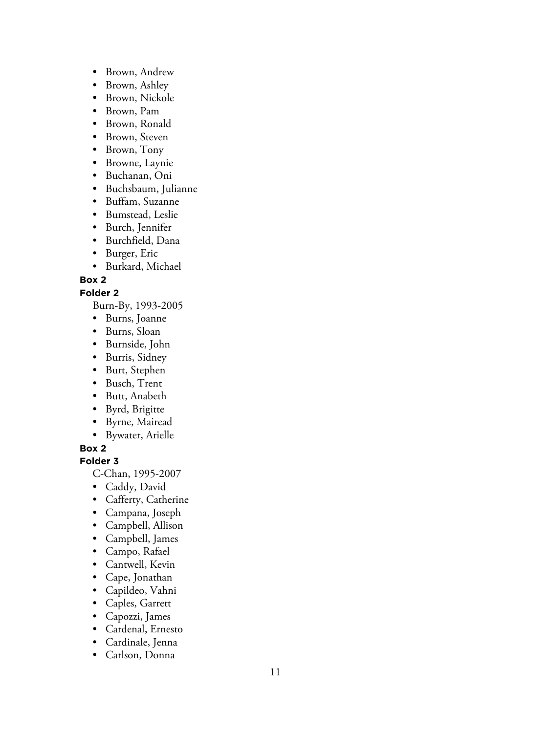- Brown, Andrew
- Brown, Ashley
- Brown, Nickole
- Brown, Pam
- Brown, Ronald
- Brown, Steven
- Brown, Tony
- Browne, Laynie
- Buchanan, Oni
- Buchsbaum, Julianne
- Buffam, Suzanne
- Bumstead, Leslie
- Burch, Jennifer
- Burchfield, Dana
- Burger, Eric
- Burkard, Michael

### **Folder 2**

Burn-By, 1993-2005

- Burns, Joanne
- Burns, Sloan
- Burnside, John
- Burris, Sidney
- Burt, Stephen
- Busch, Trent
- Butt, Anabeth
- Byrd, Brigitte
- Byrne, Mairead
- Bywater, Arielle

### **Box 2**

**Folder 3**

C-Chan, 1995-2007

- Caddy, David
- Cafferty, Catherine
- Campana, Joseph
- Campbell, Allison
- Campbell, James
- Campo, Rafael
- Cantwell, Kevin
- Cape, Jonathan
- Capildeo, Vahni
- Caples, Garrett
- Capozzi, James
- Cardenal, Ernesto
- Cardinale, Jenna
- Carlson, Donna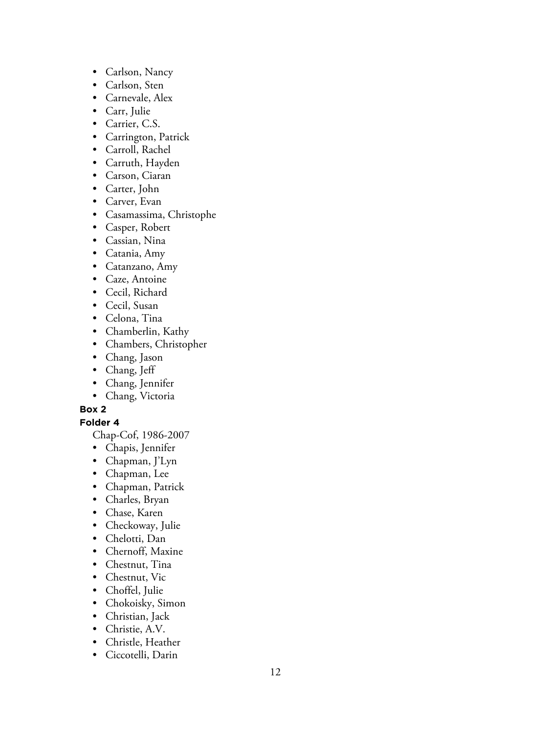- Carlson, Nancy
- Carlson, Sten
- Carnevale, Alex
- Carr, Julie
- Carrier, C.S.
- Carrington, Patrick
- Carroll, Rachel
- Carruth, Hayden
- Carson, Ciaran
- Carter, John
- Carver, Evan
- Casamassima, Christophe
- Casper, Robert
- Cassian, Nina
- Catania, Amy
- Catanzano, Amy
- Caze, Antoine
- Cecil, Richard
- Cecil, Susan
- Celona, Tina
- Chamberlin, Kathy
- Chambers, Christopher
- Chang, Jason
- Chang, Jeff
- Chang, Jennifer
- Chang, Victoria

**Folder 4**

Chap-Cof, 1986-2007

- Chapis, Jennifer
- Chapman, J'Lyn
- Chapman, Lee
- Chapman, Patrick
- Charles, Bryan
- Chase, Karen
- Checkoway, Julie
- Chelotti, Dan
- Chernoff, Maxine
- Chestnut, Tina
- Chestnut, Vic
- Choffel, Julie
- Chokoisky, Simon
- Christian, Jack
- Christie, A.V.
- Christle, Heather
- Ciccotelli, Darin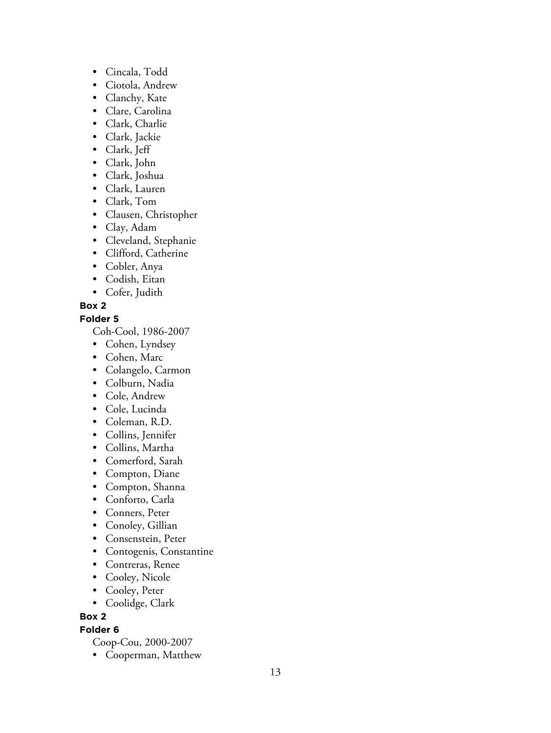- Cincala, Todd
- Ciotola, Andrew
- Clanchy, Kate
- Clare, Carolina
- Clark, Charlie
- Clark, Jackie
- Clark, Jeff
- Clark, John
- Clark, Joshua
- Clark, Lauren
- Clark, Tom
- Clausen, Christopher
- Clay, Adam
- Cleveland, Stephanie
- Clifford, Catherine
- Cobler, Anya
- Codish, Eitan
- Cofer, Judith

### **Folder 5**

Coh-Cool, 1986-2007

- Cohen, Lyndsey
- Cohen, Marc
- Colangelo, Carmon
- Colburn, Nadia
- Cole, Andrew
- Cole, Lucinda
- Coleman, R.D.
- Collins, Jennifer
- Collins, Martha
- Comerford, Sarah
- Compton, Diane
- Compton, Shanna
- Conforto, Carla
- Conners, Peter
- Conoley, Gillian
- Consenstein, Peter
- Contogenis, Constantine
- Contreras, Renee
- Cooley, Nicole
- Cooley, Peter
- Coolidge, Clark

### **Box 2**

### **Folder 6**

- Coop-Cou, 2000-2007
- Cooperman, Matthew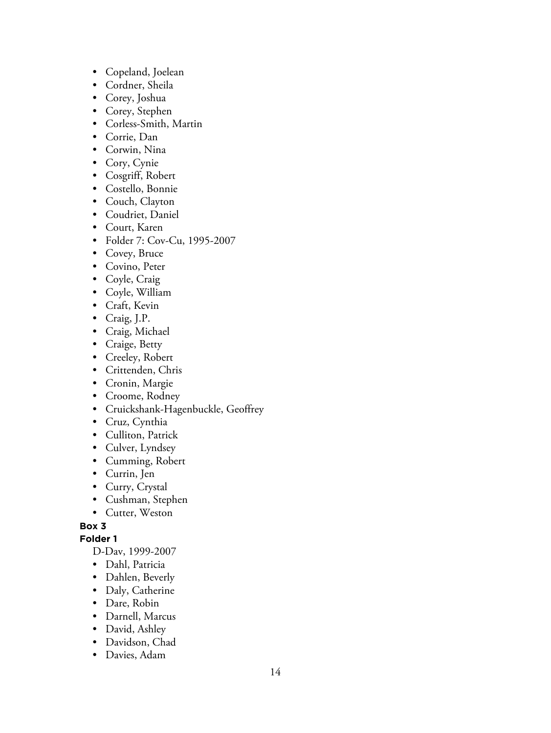- Copeland, Joelean
- Cordner, Sheila
- Corey, Joshua
- Corey, Stephen
- Corless-Smith, Martin
- Corrie, Dan
- Corwin, Nina
- Cory, Cynie
- Cosgriff, Robert
- Costello, Bonnie
- Couch, Clayton
- Coudriet, Daniel
- Court, Karen
- Folder 7: Cov-Cu, 1995-2007
- Covey, Bruce
- Covino, Peter
- Coyle, Craig
- Coyle, William
- Craft, Kevin
- Craig, J.P.
- Craig, Michael
- Craige, Betty
- Creeley, Robert
- Crittenden, Chris
- Cronin, Margie
- Croome, Rodney
- Cruickshank-Hagenbuckle, Geoffrey
- Cruz, Cynthia
- Culliton, Patrick
- Culver, Lyndsey
- Cumming, Robert
- Currin, Jen
- Curry, Crystal
- Cushman, Stephen
- Cutter, Weston

**Folder 1**

D-Dav, 1999-2007

- Dahl, Patricia
- Dahlen, Beverly
- Daly, Catherine
- Dare, Robin
- Darnell, Marcus
- David, Ashley
- Davidson, Chad
- Davies, Adam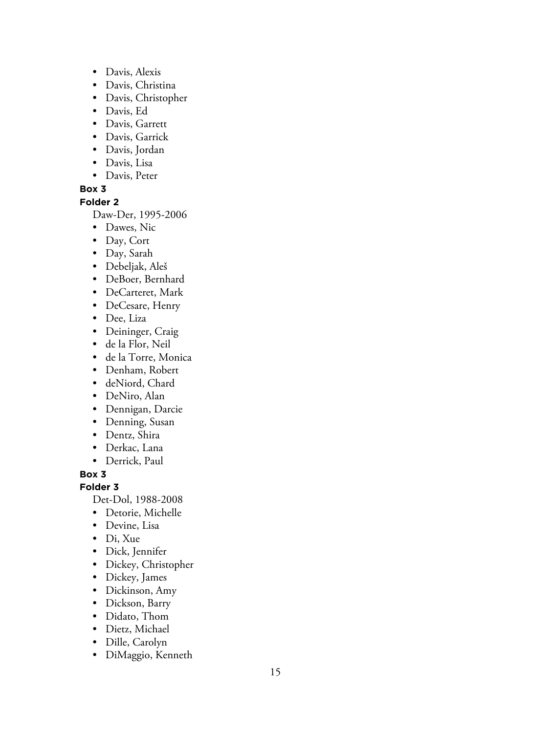- Davis, Alexis
- Davis, Christina
- Davis, Christopher
- Davis, Ed
- Davis, Garrett
- Davis, Garrick
- Davis, Jordan
- Davis, Lisa
- Davis, Peter

### **Folder 2**

Daw-Der, 1995-2006

- Dawes, Nic
- Day, Cort
- Day, Sarah
- Debeljak, Aleš
- DeBoer, Bernhard
- DeCarteret, Mark
- DeCesare, Henry
- Dee, Liza
- Deininger, Craig
- de la Flor, Neil
- de la Torre, Monica
- Denham, Robert
- deNiord, Chard
- DeNiro, Alan
- Dennigan, Darcie
- Denning, Susan
- Dentz, Shira
- Derkac, Lana
- Derrick, Paul

### **Box 3**

**Folder 3**

Det-Dol, 1988-2008

- Detorie, Michelle
- Devine, Lisa
- Di, Xue
- Dick, Jennifer
- Dickey, Christopher
- Dickey, James
- Dickinson, Amy
- Dickson, Barry
- Didato, Thom
- Dietz, Michael
- Dille, Carolyn
- DiMaggio, Kenneth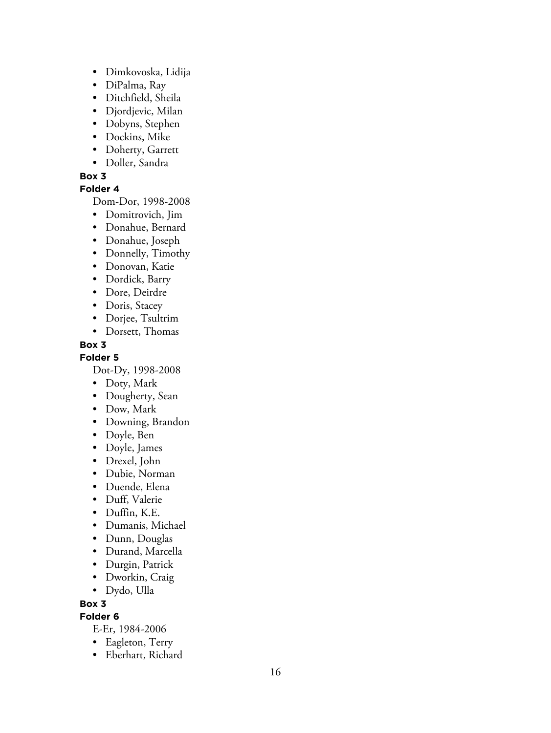- Dimkovoska, Lidija
- DiPalma, Ray
- Ditchfield, Sheila
- Djordjevic, Milan
- Dobyns, Stephen
- Dockins, Mike
- Doherty, Garrett
- Doller, Sandra

### **Folder 4**

Dom-Dor, 1998-2008

- Domitrovich, Jim
- Donahue, Bernard
- Donahue, Joseph
- Donnelly, Timothy
- Donovan, Katie
- Dordick, Barry
- Dore, Deirdre
- Doris, Stacey
- Dorjee, Tsultrim
- Dorsett, Thomas

### **Box 3**

**Folder 5**

Dot-Dy, 1998-2008

- Doty, Mark
- Dougherty, Sean
- Dow, Mark
- Downing, Brandon
- Doyle, Ben
- Doyle, James
- Drexel, John
- Dubie, Norman
- Duende, Elena
- Duff, Valerie
- Duffin, K.E.
- Dumanis, Michael
- Dunn, Douglas
- Durand, Marcella
- Durgin, Patrick
- Dworkin, Craig
- Dydo, Ulla

### **Box 3**

**Folder 6**

E-Er, 1984-2006

- Eagleton, Terry
- Eberhart, Richard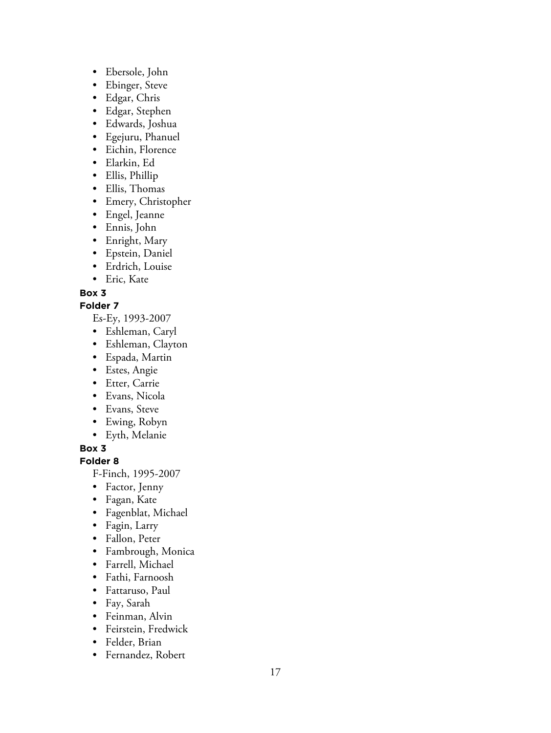- Ebersole, John
- Ebinger, Steve
- Edgar, Chris
- Edgar, Stephen
- Edwards, Joshua
- Egejuru, Phanuel
- Eichin, Florence
- Elarkin, Ed
- Ellis, Phillip
- Ellis, Thomas
- Emery, Christopher
- Engel, Jeanne
- Ennis, John
- Enright, Mary
- Epstein, Daniel
- Erdrich, Louise
- Eric, Kate

### **Folder 7**

- Es-Ey, 1993-2007
- Eshleman, Caryl
- Eshleman, Clayton
- Espada, Martin
- Estes, Angie
- Etter, Carrie
- Evans, Nicola
- Evans, Steve
- Ewing, Robyn
- Eyth, Melanie

### **Box 3**

### **Folder 8**

F-Finch, 1995-2007

- Factor, Jenny
- Fagan, Kate
- Fagenblat, Michael
- Fagin, Larry
- Fallon, Peter
- Fambrough, Monica
- Farrell, Michael
- Fathi, Farnoosh
- Fattaruso, Paul
- Fay, Sarah
- Feinman, Alvin
- Feirstein, Fredwick
- Felder, Brian
- Fernandez, Robert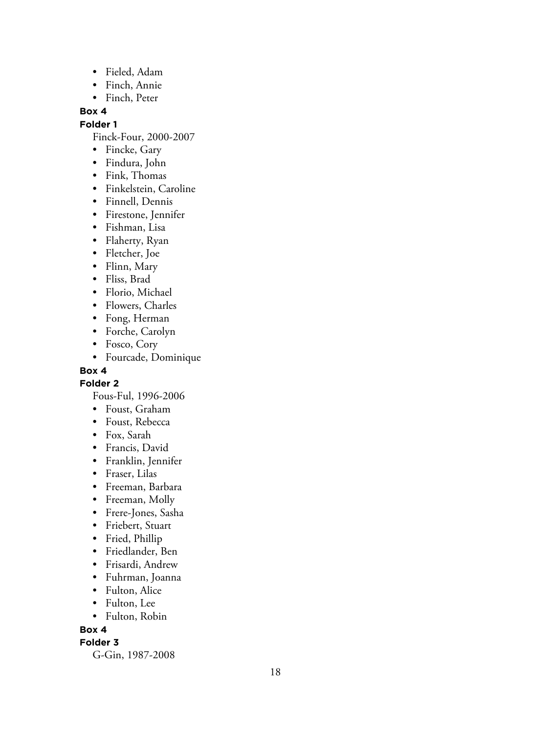- Fieled, Adam
- Finch, Annie
- Finch, Peter

### **Folder 1**

Finck-Four, 2000-2007

- Fincke, Gary
- Findura, John
- Fink, Thomas
- Finkelstein, Caroline
- Finnell, Dennis
- Firestone, Jennifer
- Fishman, Lisa
- Flaherty, Ryan
- Fletcher, Joe
- Flinn, Mary
- Fliss, Brad
- Florio, Michael
- Flowers, Charles
- Fong, Herman
- Forche, Carolyn
- Fosco, Cory
- Fourcade, Dominique

### **Box 4**

**Folder 2**

Fous-Ful, 1996-2006

- Foust, Graham
- Foust, Rebecca
- Fox, Sarah
- Francis, David
- Franklin, Jennifer
- Fraser, Lilas
- Freeman, Barbara
- Freeman, Molly
- Frere-Jones, Sasha
- Friebert, Stuart
- Fried, Phillip
- Friedlander, Ben
- Frisardi, Andrew
- Fuhrman, Joanna
- Fulton, Alice
- Fulton, Lee
- Fulton, Robin

### **Box 4**

### **Folder 3**

G-Gin, 1987-2008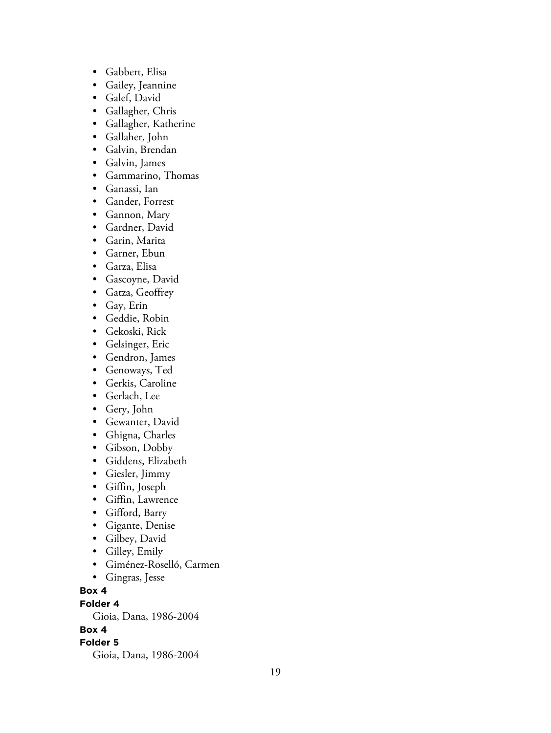- Gabbert, Elisa
- Gailey, Jeannine
- Galef, David
- Gallagher, Chris
- Gallagher, Katherine
- Gallaher, John
- Galvin, Brendan
- Galvin, James
- Gammarino, Thomas
- Ganassi, Ian
- Gander, Forrest
- Gannon, Mary
- Gardner, David
- Garin, Marita
- Garner, Ebun
- Garza, Elisa
- Gascoyne, David
- Gatza, Geoffrey
- Gay, Erin
- Geddie, Robin
- Gekoski, Rick
- Gelsinger, Eric
- Gendron, James
- Genoways, Ted
- Gerkis, Caroline
- Gerlach, Lee
- Gery, John
- Gewanter, David
- Ghigna, Charles
- Gibson, Dobby
- Giddens, Elizabeth
- Giesler, Jimmy
- Giffin, Joseph
- Giffin, Lawrence
- Gifford, Barry
- Gigante, Denise
- Gilbey, David
- Gilley, Emily
- Giménez-Roselló, Carmen
- Gingras, Jesse

**Folder 4**

Gioia, Dana, 1986-2004

**Box 4**

### **Folder 5**

Gioia, Dana, 1986-2004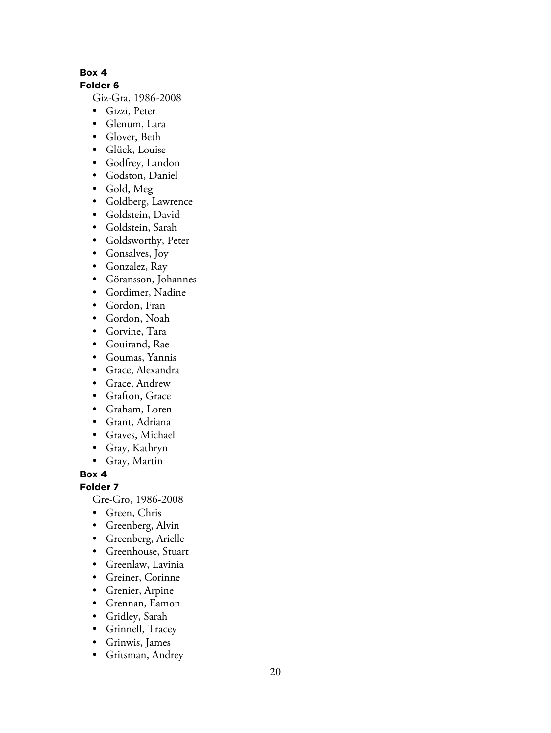**Folder 6**

Giz-Gra, 1986-2008

- Gizzi, Peter
- Glenum, Lara
- Glover, Beth
- Glück, Louise
- Godfrey, Landon
- Godston, Daniel
- Gold, Meg
- Goldberg, Lawrence
- Goldstein, David
- Goldstein, Sarah
- Goldsworthy, Peter
- Gonsalves, Joy
- Gonzalez, Ray
- Göransson, Johannes
- Gordimer, Nadine
- Gordon, Fran
- Gordon, Noah
- Gorvine, Tara
- Gouirand, Rae
- Goumas, Yannis
- Grace, Alexandra
- Grace, Andrew
- Grafton, Grace
- Graham, Loren
- Grant, Adriana
- Graves, Michael
- Gray, Kathryn
- Gray, Martin

**Box 4**

### **Folder 7**

Gre-Gro, 1986-2008

- Green, Chris
- Greenberg, Alvin
- Greenberg, Arielle
- Greenhouse, Stuart
- Greenlaw, Lavinia
- Greiner, Corinne
- Grenier, Arpine
- Grennan, Eamon
- Gridley, Sarah
- Grinnell, Tracey
- Grinwis, James
- Gritsman, Andrey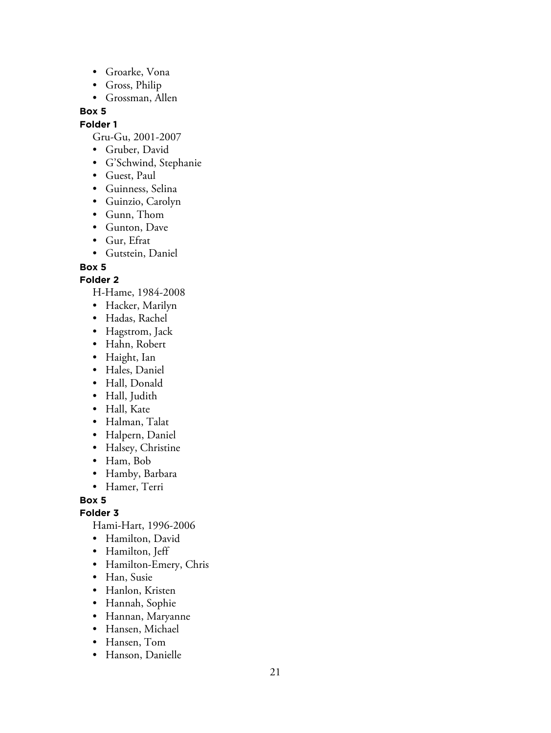- Groarke, Vona
- Gross, Philip
- Grossman, Allen

### **Folder 1**

Gru-Gu, 2001-2007

- Gruber, David
- G'Schwind, Stephanie
- Guest, Paul
- Guinness, Selina
- Guinzio, Carolyn
- Gunn, Thom
- Gunton, Dave
- Gur, Efrat
- Gutstein, Daniel

**Box 5**

### **Folder 2**

H-Hame, 1984-2008

- Hacker, Marilyn
- Hadas, Rachel
- Hagstrom, Jack
- Hahn, Robert
- Haight, Ian
- Hales, Daniel
- Hall, Donald
- Hall, Judith
- Hall, Kate
- Halman, Talat
- Halpern, Daniel
- Halsey, Christine
- Ham, Bob
- Hamby, Barbara
- Hamer, Terri

**Box 5**

### **Folder 3**

Hami-Hart, 1996-2006

- Hamilton, David
- Hamilton, Jeff
- Hamilton-Emery, Chris
- Han, Susie
- Hanlon, Kristen
- Hannah, Sophie
- Hannan, Maryanne
- Hansen, Michael
- Hansen, Tom
- Hanson, Danielle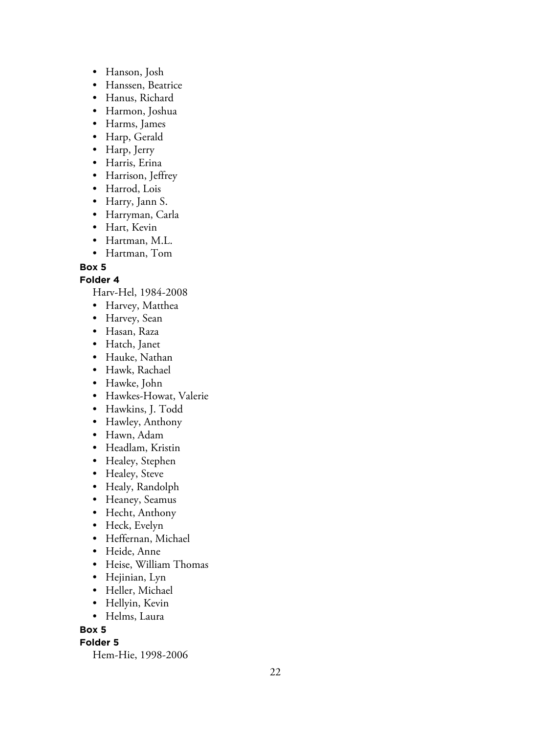- Hanson, Josh
- Hanssen, Beatrice
- Hanus, Richard
- Harmon, Joshua
- Harms, James
- Harp, Gerald
- Harp, Jerry
- Harris, Erina
- Harrison, Jeffrey
- Harrod, Lois
- Harry, Jann S.
- Harryman, Carla
- Hart, Kevin
- Hartman, M.L.
- Hartman, Tom

### **Folder 4**

Harv-Hel, 1984-2008

- Harvey, Matthea
- Harvey, Sean
- Hasan, Raza
- Hatch, Janet
- Hauke, Nathan
- Hawk, Rachael
- Hawke, John
- Hawkes-Howat, Valerie
- Hawkins, J. Todd
- Hawley, Anthony
- Hawn, Adam
- Headlam, Kristin
- Healey, Stephen
- Healey, Steve
- Healy, Randolph
- Heaney, Seamus
- Hecht, Anthony
- Heck, Evelyn
- Heffernan, Michael
- Heide, Anne
- Heise, William Thomas
- Hejinian, Lyn
- Heller, Michael
- Hellyin, Kevin
- Helms, Laura

**Box 5**

### **Folder 5**

Hem-Hie, 1998-2006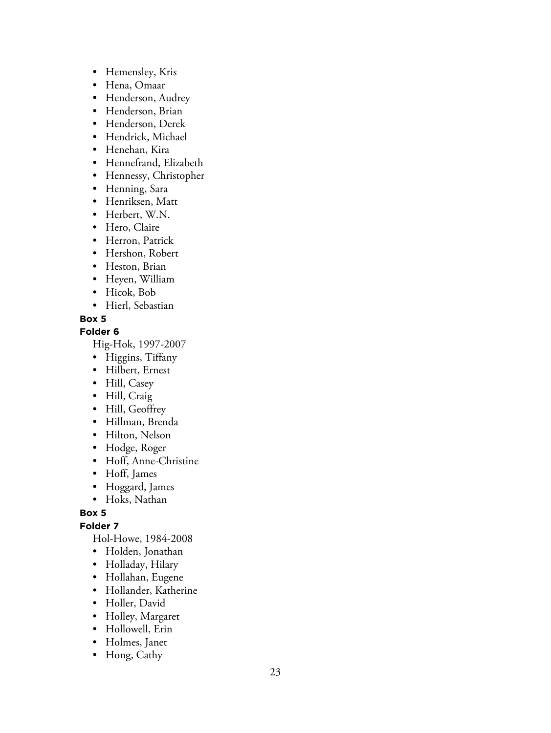- Hemensley, Kris
- Hena, Omaar
- Henderson, Audrey
- Henderson, Brian
- Henderson, Derek
- Hendrick, Michael
- Henehan, Kira
- Hennefrand, Elizabeth
- Hennessy, Christopher
- Henning, Sara
- Henriksen, Matt
- Herbert, W.N.
- Hero, Claire
- Herron, Patrick
- Hershon, Robert
- Heston, Brian
- Heyen, William
- Hicok, Bob
- Hierl, Sebastian

**Folder 6**

Hig-Hok, 1997-2007

- Higgins, Tiffany
- Hilbert, Ernest
- Hill, Casey
- Hill, Craig
- Hill, Geoffrey
- Hillman, Brenda
- Hilton, Nelson
- Hodge, Roger
- Hoff, Anne-Christine
- Hoff, James
- Hoggard, James
- Hoks, Nathan

**Box 5**

### **Folder 7**

Hol-Howe, 1984-2008

- Holden, Jonathan
- Holladay, Hilary
- Hollahan, Eugene
- Hollander, Katherine
- Holler, David
- Holley, Margaret
- Hollowell, Erin
- Holmes, Janet
- Hong, Cathy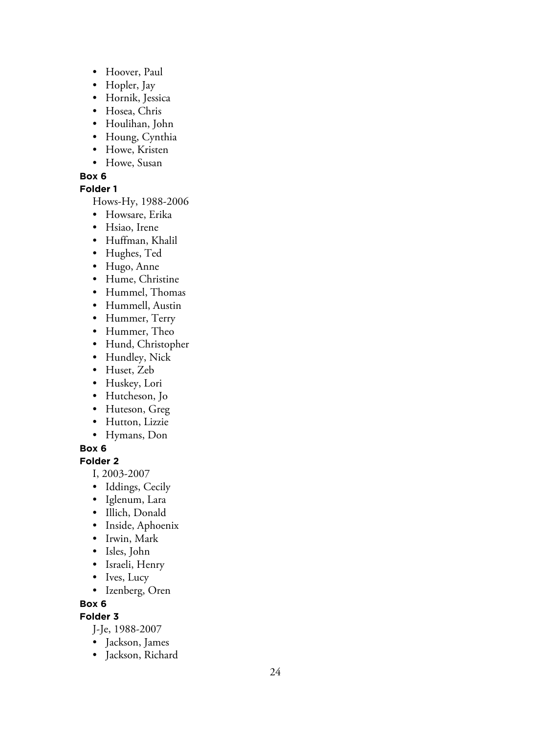- Hoover, Paul
- Hopler, Jay
- Hornik, Jessica
- Hosea, Chris
- Houlihan, John
- Houng, Cynthia
- Howe, Kristen
- Howe, Susan

### **Folder 1**

Hows-Hy, 1988-2006

- Howsare, Erika
- Hsiao, Irene
- Huffman, Khalil
- Hughes, Ted
- Hugo, Anne
- Hume, Christine
- Hummel, Thomas
- Hummell, Austin
- Hummer, Terry
- Hummer, Theo
- Hund, Christopher
- Hundley, Nick
- Huset, Zeb
- Huskey, Lori
- Hutcheson, Jo
- Huteson, Greg
- Hutton, Lizzie
- Hymans, Don

### **Box 6**

### **Folder 2**

- I, 2003-2007
- Iddings, Cecily
- Iglenum, Lara
- Illich, Donald
- Inside, Aphoenix
- Irwin, Mark
- Isles, John
- Israeli, Henry
- Ives, Lucy
- Izenberg, Oren

### **Box 6**

### **Folder 3**

J-Je, 1988-2007

- Jackson, James
- Jackson, Richard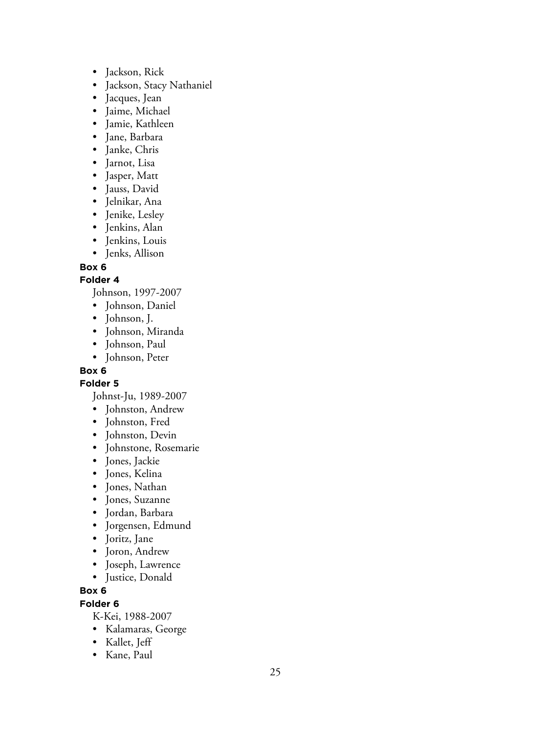- Jackson, Rick
- Jackson, Stacy Nathaniel
- Jacques, Jean
- Jaime, Michael
- Jamie, Kathleen
- Jane, Barbara
- Janke, Chris
- Jarnot, Lisa
- Jasper, Matt
- Jauss, David
- Jelnikar, Ana
- Jenike, Lesley
- Jenkins, Alan
- Jenkins, Louis
- Jenks, Allison

### **Folder 4**

Johnson, 1997-2007

- Johnson, Daniel
- Johnson, J.
- Johnson, Miranda
- Johnson, Paul
- Johnson, Peter

### **Box 6**

**Folder 5**

Johnst-Ju, 1989-2007

- Johnston, Andrew
- Johnston, Fred
- Johnston, Devin
- Johnstone, Rosemarie
- Jones, Jackie
- Jones, Kelina
- Jones, Nathan
- Jones, Suzanne
- Jordan, Barbara
- Jorgensen, Edmund
- Joritz, Jane
- Joron, Andrew
- Joseph, Lawrence
- Justice, Donald

### **Box 6**

### **Folder 6**

K-Kei, 1988-2007

- Kalamaras, George
- Kallet, Jeff
- Kane, Paul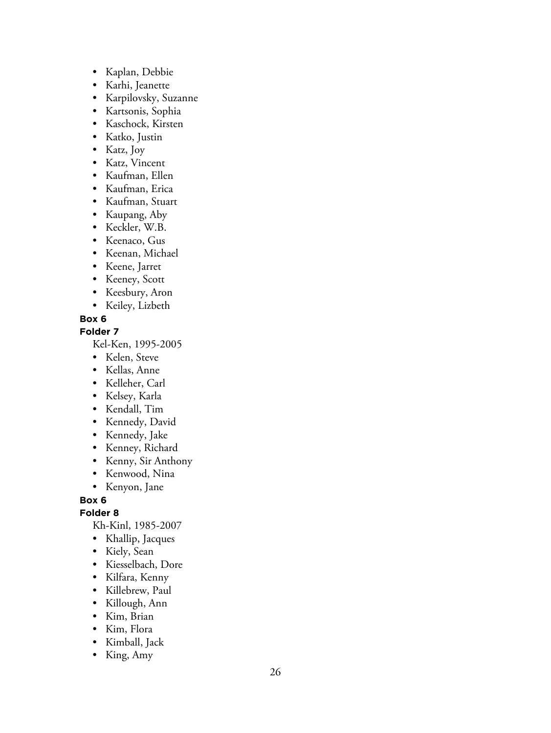- Kaplan, Debbie
- Karhi, Jeanette
- Karpilovsky, Suzanne
- Kartsonis, Sophia
- Kaschock, Kirsten
- Katko, Justin
- Katz, Joy
- Katz, Vincent
- Kaufman, Ellen
- Kaufman, Erica
- Kaufman, Stuart
- Kaupang, Aby
- Keckler, W.B.
- Keenaco, Gus
- Keenan, Michael
- Keene, Jarret
- Keeney, Scott
- Keesbury, Aron
- Keiley, Lizbeth
- **Box 6**

### **Folder 7**

Kel-Ken, 1995-2005

- Kelen, Steve
- Kellas, Anne
- Kelleher, Carl
- Kelsey, Karla
- Kendall, Tim
- Kennedy, David
- Kennedy, Jake
- Kenney, Richard
- Kenny, Sir Anthony
- Kenwood, Nina
- Kenyon, Jane

**Box 6**

### **Folder 8**

Kh-Kinl, 1985-2007

- Khallip, Jacques
- Kiely, Sean
- Kiesselbach, Dore
- Kilfara, Kenny
- Killebrew, Paul
- Killough, Ann
- Kim, Brian
- Kim, Flora
- Kimball, Jack
- King, Amy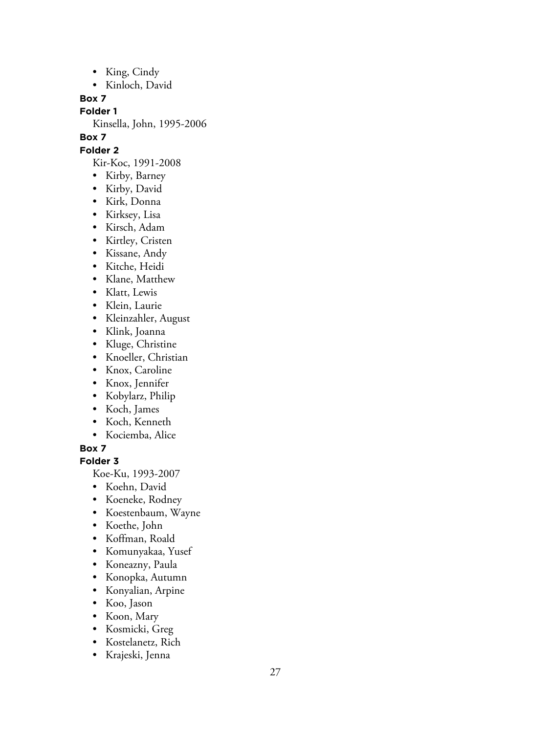- King, Cindy
- Kinloch, David

**Folder 1**

Kinsella, John, 1995-2006

### **Box 7**

**Folder 2**

Kir-Koc, 1991-2008

- Kirby, Barney
- Kirby, David
- Kirk, Donna
- Kirksey, Lisa
- Kirsch, Adam
- Kirtley, Cristen
- Kissane, Andy
- Kitche, Heidi
- Klane, Matthew
- Klatt, Lewis
- Klein, Laurie
- Kleinzahler, August
- Klink, Joanna
- Kluge, Christine
- Knoeller, Christian
- Knox, Caroline
- Knox, Jennifer
- Kobylarz, Philip
- Koch, James
- Koch, Kenneth
- Kociemba, Alice

**Box 7**

### **Folder 3**

Koe-Ku, 1993-2007

- Koehn, David
- Koeneke, Rodney
- Koestenbaum, Wayne
- Koethe, John
- Koffman, Roald
- Komunyakaa, Yusef
- Koneazny, Paula
- Konopka, Autumn
- Konyalian, Arpine
- Koo, Jason
- Koon, Mary
- Kosmicki, Greg
- Kostelanetz, Rich
- Krajeski, Jenna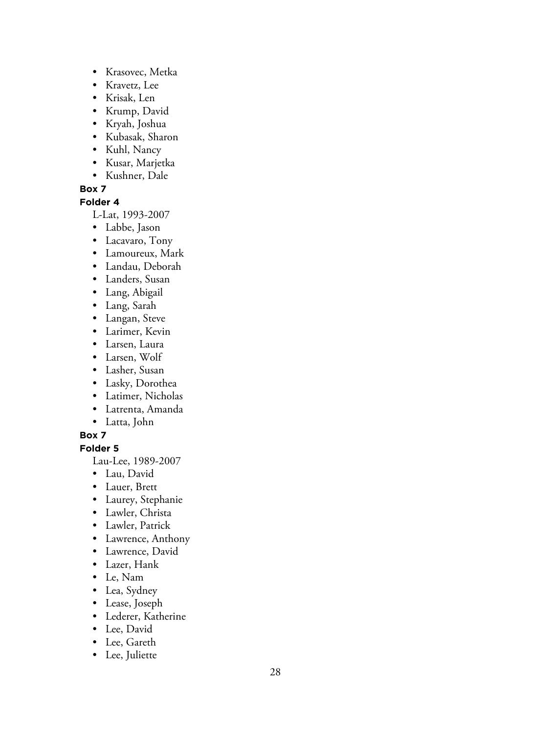- Krasovec, Metka
- Kravetz, Lee
- Krisak, Len
- Krump, David
- Kryah, Joshua
- Kubasak, Sharon
- Kuhl, Nancy
- Kusar, Marjetka
- Kushner, Dale

### **Folder 4**

L-Lat, 1993-2007

- Labbe, Jason
- Lacavaro, Tony
- Lamoureux, Mark
- Landau, Deborah
- Landers, Susan
- Lang, Abigail
- Lang, Sarah
- Langan, Steve
- Larimer, Kevin
- Larsen, Laura
- Larsen, Wolf
- Lasher, Susan
- Lasky, Dorothea
- Latimer, Nicholas
- Latrenta, Amanda
- Latta, John

### **Box 7**

**Folder 5**

Lau-Lee, 1989-2007

- Lau, David
- Lauer, Brett
- Laurey, Stephanie
- Lawler, Christa
- Lawler, Patrick
- Lawrence, Anthony
- Lawrence, David
- Lazer, Hank
- Le, Nam
- Lea, Sydney
- Lease, Joseph
- Lederer, Katherine
- Lee, David
- Lee, Gareth
- Lee, Juliette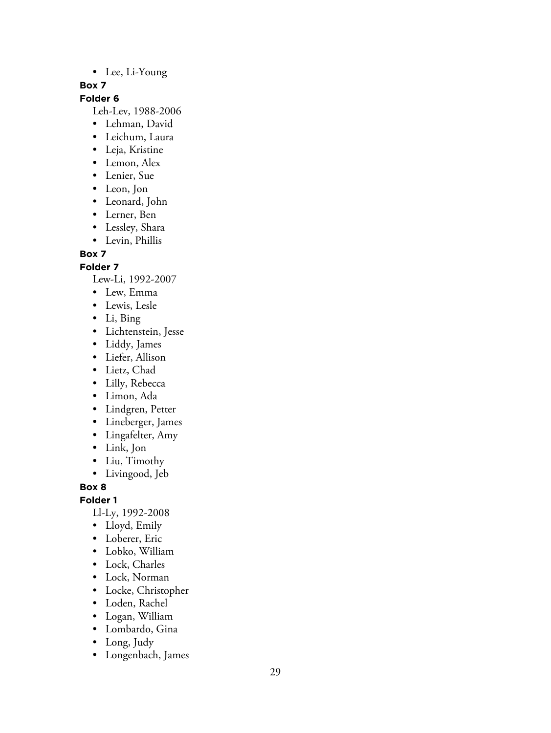### • Lee, Li-Young

### **Box 7**

### **Folder 6**

Leh-Lev, 1988-2006

- Lehman, David
- Leichum, Laura
- Leja, Kristine
- Lemon, Alex
- Lenier, Sue
- Leon, Jon
- Leonard, John
- Lerner, Ben
- Lessley, Shara
- Levin, Phillis

### **Box 7**

**Folder 7**

Lew-Li, 1992-2007

- Lew, Emma
- Lewis, Lesle
- Li, Bing
- Lichtenstein, Jesse
- Liddy, James
- Liefer, Allison
- Lietz, Chad
- Lilly, Rebecca
- Limon, Ada
- Lindgren, Petter
- Lineberger, James
- Lingafelter, Amy
- Link, Jon
- Liu, Timothy
- Livingood, Jeb

**Box 8**

**Folder 1**

Ll-Ly, 1992-2008

- Lloyd, Emily
- Loberer, Eric
- Lobko, William
- Lock, Charles
- Lock, Norman
- Locke, Christopher
- Loden, Rachel
- Logan, William
- Lombardo, Gina
- Long, Judy
- Longenbach, James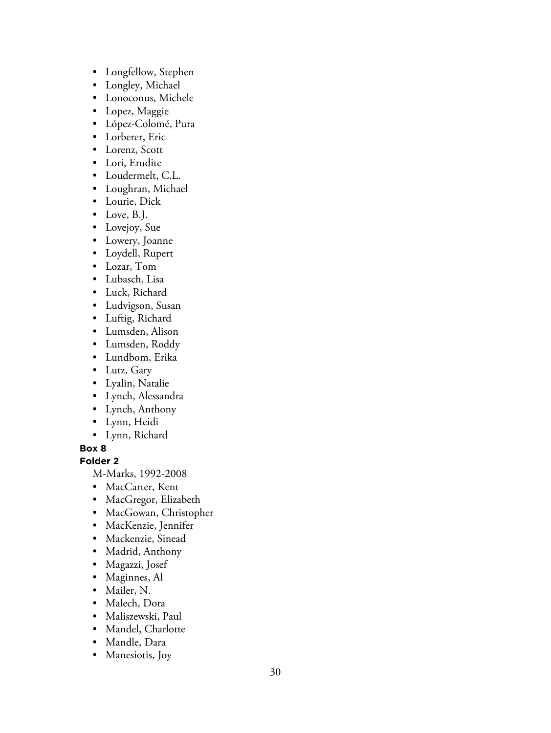- Longfellow, Stephen
- Longley, Michael
- Lonoconus, Michele
- Lopez, Maggie
- López-Colomé, Pura
- Lorberer, Eric
- Lorenz, Scott
- Lori, Erudite
- Loudermelt, C.L.
- Loughran, Michael
- Lourie, Dick
- Love, B.J.
- Lovejoy, Sue
- Lowery, Joanne
- Loydell, Rupert
- Lozar, Tom
- Lubasch, Lisa
- Luck, Richard
- Ludvigson, Susan
- Luftig, Richard
- Lumsden, Alison
- Lumsden, Roddy
- Lundbom, Erika
- Lutz, Gary
- Lyalin, Natalie
- Lynch, Alessandra
- Lynch, Anthony
- Lynn, Heidi
- Lynn, Richard

### **Folder 2**

M-Marks, 1992-2008

- MacCarter, Kent
- MacGregor, Elizabeth
- MacGowan, Christopher
- MacKenzie, Jennifer
- Mackenzie, Sinead
- Madrid, Anthony
- Magazzi, Josef
- Maginnes, Al
- Mailer, N.
- Malech, Dora
- Maliszewski, Paul
- Mandel, Charlotte
- Mandle, Dara
- Manesiotis, Joy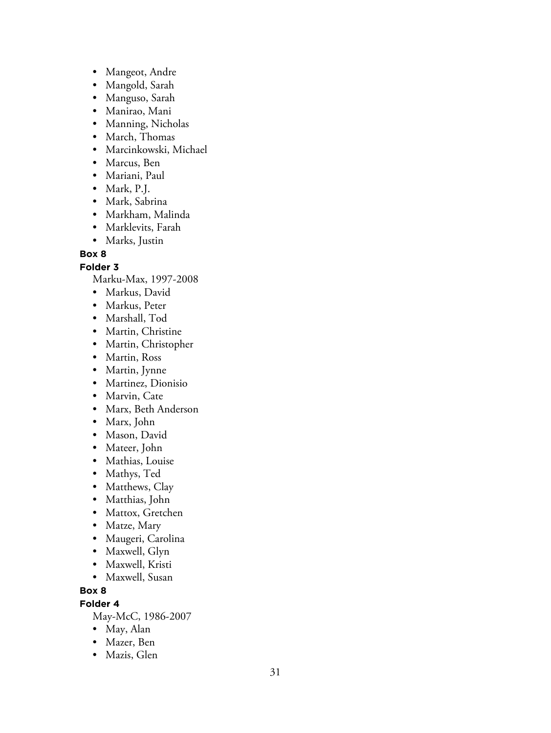- Mangeot, Andre
- Mangold, Sarah
- Manguso, Sarah
- Manirao, Mani
- Manning, Nicholas
- March, Thomas
- Marcinkowski, Michael
- Marcus, Ben
- Mariani, Paul
- Mark, P.J.
- Mark, Sabrina
- Markham, Malinda
- Marklevits, Farah
- Marks, Justin

**Folder 3**

Marku-Max, 1997-2008

- Markus, David
- Markus, Peter
- Marshall, Tod
- Martin, Christine
- Martin, Christopher
- Martin, Ross
- Martin, Jynne
- Martinez, Dionisio
- Marvin, Cate
- Marx, Beth Anderson
- Marx, John
- Mason, David
- Mateer, John
- Mathias, Louise
- Mathys, Ted
- Matthews, Clay
- Matthias, John
- Mattox, Gretchen
- Matze, Mary
- Maugeri, Carolina
- Maxwell, Glyn
- Maxwell, Kristi
- Maxwell, Susan

### **Box 8**

### **Folder 4**

May-McC, 1986-2007

- May, Alan
- Mazer, Ben
- Mazis, Glen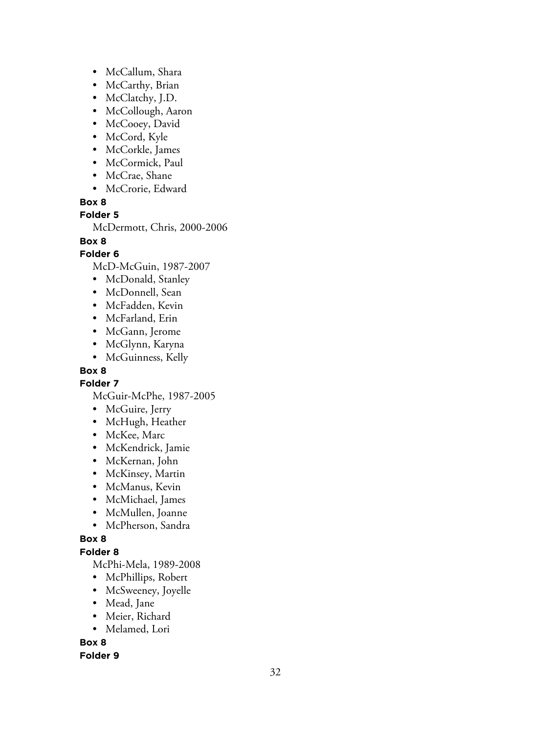- McCallum, Shara
- McCarthy, Brian
- McClatchy, J.D.
- McCollough, Aaron
- McCooey, David
- McCord, Kyle
- McCorkle, James
- McCormick, Paul
- McCrae, Shane
- McCrorie, Edward

### **Folder 5**

McDermott, Chris, 2000-2006

### **Box 8**

### **Folder 6**

McD-McGuin, 1987-2007

- McDonald, Stanley
- McDonnell, Sean
- McFadden, Kevin
- McFarland, Erin
- McGann, Jerome
- McGlynn, Karyna
- McGuinness, Kelly

### **Box 8**

**Folder 7**

McGuir-McPhe, 1987-2005

- McGuire, Jerry
- McHugh, Heather
- McKee, Marc
- McKendrick, Jamie
- McKernan, John
- McKinsey, Martin
- McManus, Kevin
- McMichael, James
- McMullen, Joanne
- McPherson, Sandra

### **Box 8**

### **Folder 8**

McPhi-Mela, 1989-2008

- McPhillips, Robert
- McSweeney, Joyelle
- Mead, Jane
- Meier, Richard
- Melamed, Lori

**Box 8**

### **Folder 9**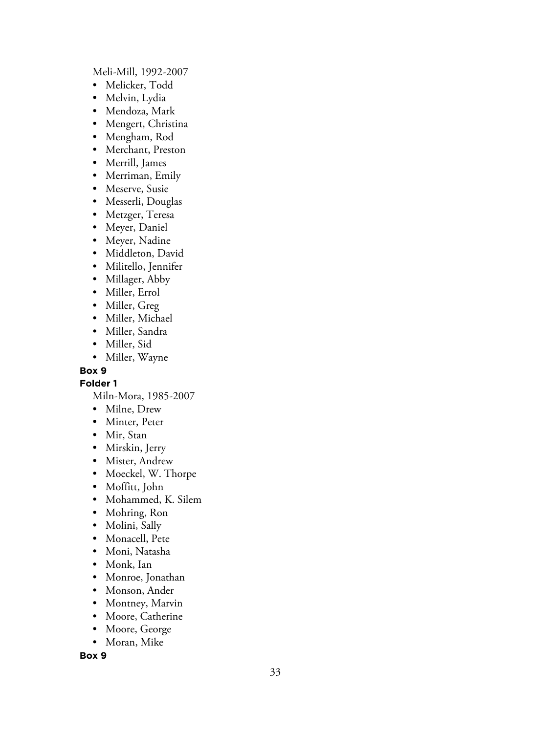Meli-Mill, 1992-2007

- Melicker, Todd
- Melvin, Lydia
- Mendoza, Mark
- Mengert, Christina
- Mengham, Rod
- Merchant, Preston
- Merrill, James
- Merriman, Emily
- Meserve, Susie
- Messerli, Douglas
- Metzger, Teresa
- Meyer, Daniel
- Meyer, Nadine
- Middleton, David
- Militello, Jennifer
- Millager, Abby
- Miller, Errol
- Miller, Greg
- Miller, Michael
- Miller, Sandra
- Miller, Sid
- Miller, Wayne

### **Box 9**

**Folder 1**

Miln-Mora, 1985-2007

- Milne, Drew
- Minter, Peter
- Mir, Stan
- Mirskin, Jerry
- Mister, Andrew
- Moeckel, W. Thorpe
- Moffitt, John
- Mohammed, K. Silem
- Mohring, Ron
- Molini, Sally
- Monacell, Pete
- Moni, Natasha
- Monk, Ian
- Monroe, Jonathan
- Monson, Ander
- Montney, Marvin
- Moore, Catherine
- Moore, George
- Moran, Mike

**Box 9**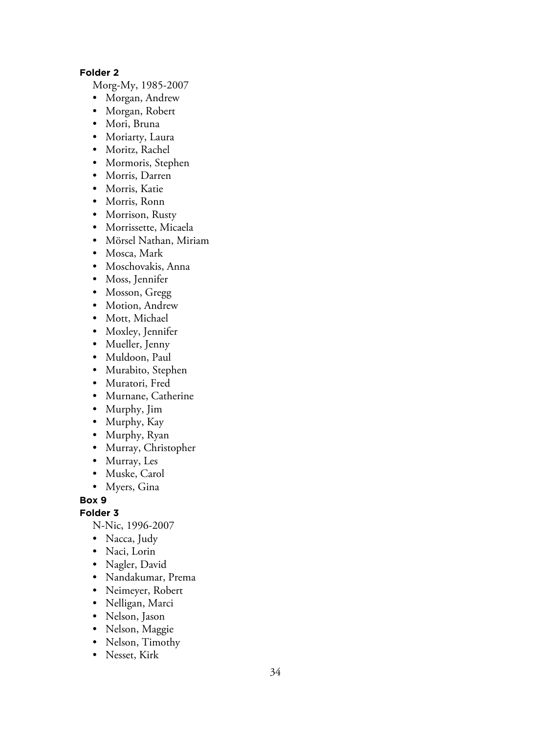### **Folder 2**

Morg-My, 1985-2007

- Morgan, Andrew
- Morgan, Robert
- Mori, Bruna
- Moriarty, Laura
- Moritz, Rachel
- Mormoris, Stephen
- Morris, Darren
- Morris, Katie
- Morris, Ronn
- Morrison, Rusty
- Morrissette, Micaela
- Mörsel Nathan, Miriam
- Mosca, Mark
- Moschovakis, Anna
- Moss, Jennifer
- Mosson, Gregg
- Motion, Andrew
- Mott, Michael
- Moxley, Jennifer
- Mueller, Jenny
- Muldoon, Paul
- Murabito, Stephen
- Muratori, Fred
- Murnane, Catherine
- Murphy, Jim
- Murphy, Kay
- Murphy, Ryan
- Murray, Christopher
- Murray, Les
- Muske, Carol
- Myers, Gina

**Box 9**

**Folder 3**

N-Nic, 1996-2007

- Nacca, Judy
- Naci, Lorin
- Nagler, David
- Nandakumar, Prema
- Neimeyer, Robert
- Nelligan, Marci
- Nelson, Jason
- Nelson, Maggie
- Nelson, Timothy
- Nesset, Kirk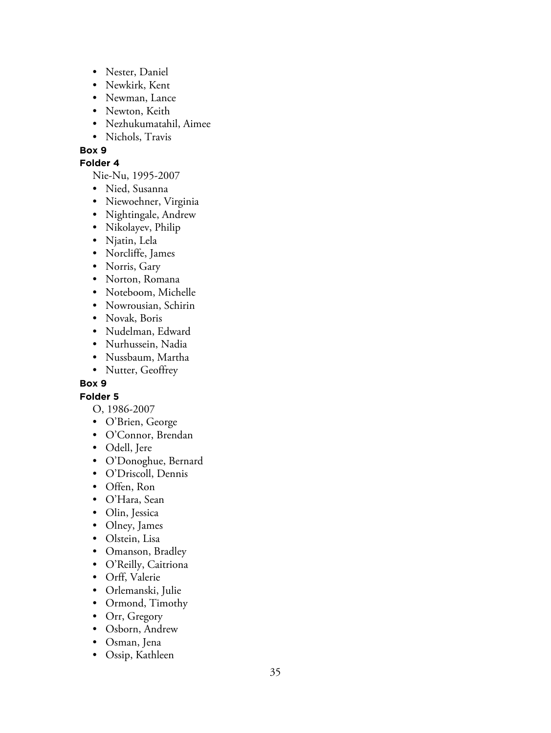- Nester, Daniel
- Newkirk, Kent
- Newman, Lance
- Newton, Keith
- Nezhukumatahil, Aimee
- Nichols, Travis

### **Folder 4**

Nie-Nu, 1995-2007

- Nied, Susanna
- Niewoehner, Virginia
- Nightingale, Andrew
- Nikolayev, Philip
- Njatin, Lela
- Norcliffe, James
- Norris, Gary
- Norton, Romana
- Noteboom, Michelle
- Nowrousian, Schirin
- Novak, Boris
- Nudelman, Edward
- Nurhussein, Nadia
- Nussbaum, Martha
- Nutter, Geoffrey

### **Box 9**

### **Folder 5**

- O, 1986-2007
- O'Brien, George
- O'Connor, Brendan
- Odell, Jere
- O'Donoghue, Bernard
- O'Driscoll, Dennis
- Offen, Ron
- O'Hara, Sean
- Olin, Jessica
- Olney, James
- Olstein, Lisa
- Omanson, Bradley
- O'Reilly, Caitriona
- Orff, Valerie
- Orlemanski, Julie
- Ormond, Timothy
- Orr, Gregory
- Osborn, Andrew
- Osman, Jena
- Ossip, Kathleen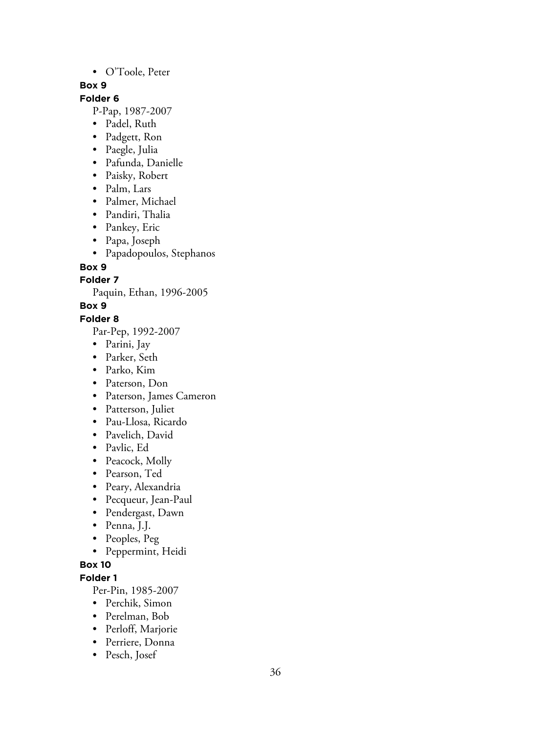### • O'Toole, Peter

### **Box 9**

### **Folder 6**

P-Pap, 1987-2007

- Padel, Ruth
- Padgett, Ron
- Paegle, Julia
- Pafunda, Danielle
- Paisky, Robert
- Palm, Lars
- Palmer, Michael
- Pandiri, Thalia
- Pankey, Eric
- Papa, Joseph
- Papadopoulos, Stephanos

### **Box 9**

**Folder 7**

Paquin, Ethan, 1996-2005

### **Box 9**

### **Folder 8**

Par-Pep, 1992-2007

- Parini, Jay
- Parker, Seth
- Parko, Kim
- Paterson, Don
- Paterson, James Cameron
- Patterson, Juliet
- Pau-Llosa, Ricardo
- Pavelich, David
- Pavlic, Ed
- Peacock, Molly
- Pearson, Ted
- Peary, Alexandria
- Pecqueur, Jean-Paul
- Pendergast, Dawn
- Penna, J.J.
- Peoples, Peg
- Peppermint, Heidi

### **Box 10**

### **Folder 1**

Per-Pin, 1985-2007

- Perchik, Simon
- Perelman, Bob
- Perloff, Marjorie
- Perriere, Donna
- Pesch, Josef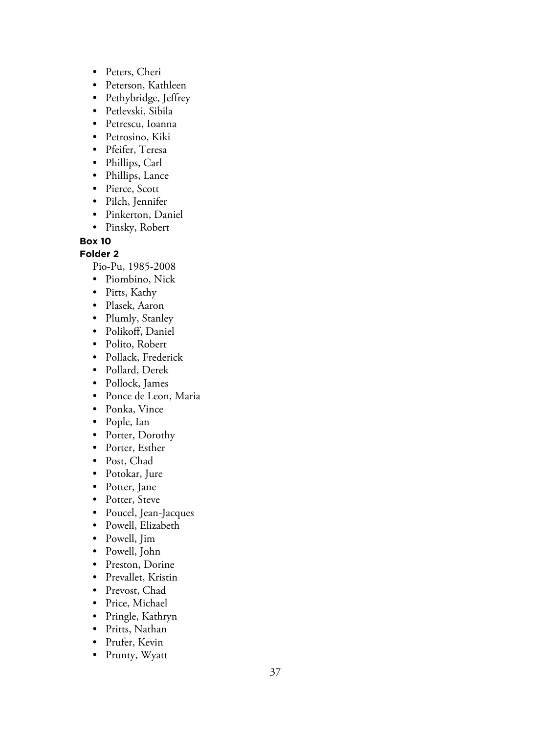- Peters, Cheri
- Peterson, Kathleen
- Pethybridge, Jeffrey
- Petlevski, Sibila
- Petrescu, Ioanna
- Petrosino, Kiki
- Pfeifer, Teresa
- Phillips, Carl
- Phillips, Lance
- Pierce, Scott
- Pilch, Jennifer
- Pinkerton, Daniel
- Pinsky, Robert

### **Folder 2**

Pio-Pu, 1985-2008

- Piombino, Nick
- Pitts, Kathy
- Plasek, Aaron
- Plumly, Stanley
- Polikoff, Daniel
- Polito, Robert
- Pollack, Frederick
- Pollard, Derek
- Pollock, James
- Ponce de Leon, Maria
- Ponka, Vince
- Pople, Ian
- Porter, Dorothy
- Porter, Esther
- Post, Chad
- Potokar, Jure
- Potter, Jane
- Potter, Steve
- Poucel, Jean-Jacques
- Powell, Elizabeth
- Powell, Jim
- Powell, John
- Preston, Dorine
- Prevallet, Kristin
- Prevost, Chad
- Price, Michael
- Pringle, Kathryn
- Pritts, Nathan
- Prufer, Kevin
- Prunty, Wyatt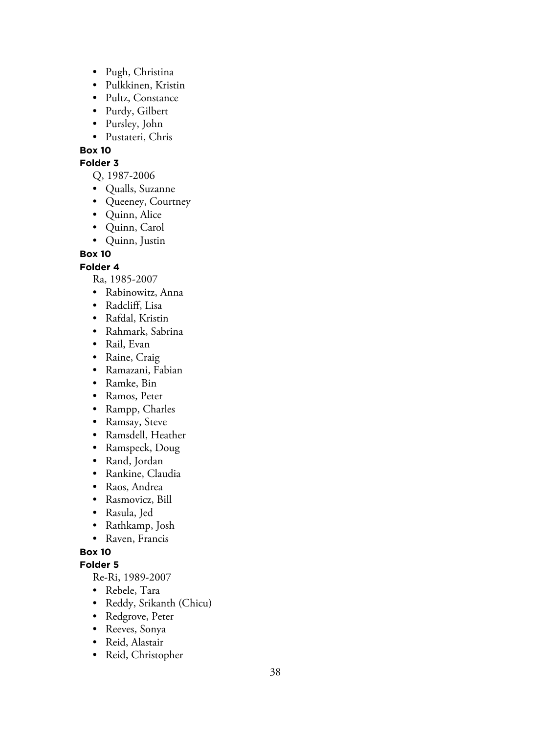- Pugh, Christina
- Pulkkinen, Kristin
- Pultz, Constance
- Purdy, Gilbert
- Pursley, John
- Pustateri, Chris

#### **Folder 3**

Q, 1987-2006

- Qualls, Suzanne
- Queeney, Courtney
- Quinn, Alice
- Quinn, Carol
- Quinn, Justin

**Box 10**

### **Folder 4**

Ra, 1985-2007

- Rabinowitz, Anna
- Radcliff, Lisa
- Rafdal, Kristin
- Rahmark, Sabrina
- Rail, Evan
- Raine, Craig
- Ramazani, Fabian
- Ramke, Bin
- Ramos, Peter
- Rampp, Charles
- Ramsay, Steve
- Ramsdell, Heather
- Ramspeck, Doug
- Rand, Jordan
- Rankine, Claudia
- Raos, Andrea
- Rasmovicz, Bill
- Rasula, Jed
- Rathkamp, Josh
- Raven, Francis

### **Box 10**

### **Folder 5**

Re-Ri, 1989-2007

- Rebele, Tara
- Reddy, Srikanth (Chicu)
- Redgrove, Peter
- Reeves, Sonya
- Reid, Alastair
- Reid, Christopher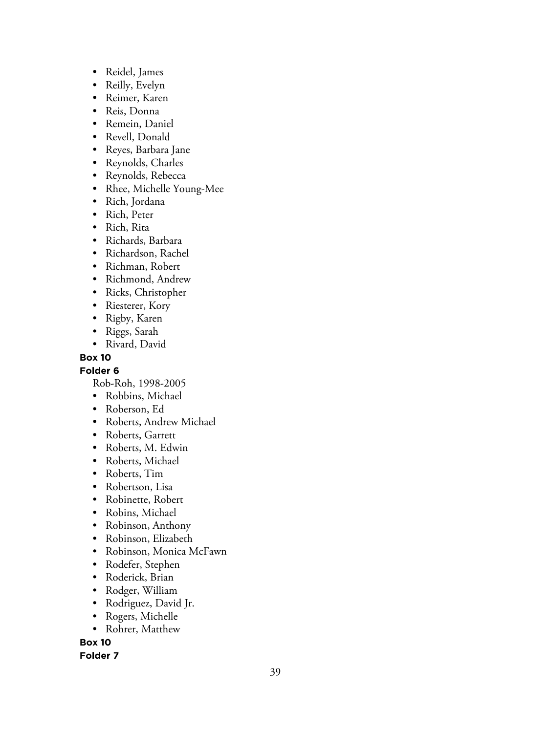- Reidel, James
- Reilly, Evelyn
- Reimer, Karen
- Reis, Donna
- Remein, Daniel
- Revell, Donald
- Reyes, Barbara Jane
- Reynolds, Charles
- Reynolds, Rebecca
- Rhee, Michelle Young-Mee
- Rich, Jordana
- Rich, Peter
- Rich, Rita
- Richards, Barbara
- Richardson, Rachel
- Richman, Robert
- Richmond, Andrew
- Ricks, Christopher
- Riesterer, Kory
- Rigby, Karen
- Riggs, Sarah
- Rivard, David

### **Folder 6**

Rob-Roh, 1998-2005

- Robbins, Michael
- Roberson, Ed
- Roberts, Andrew Michael
- Roberts, Garrett
- Roberts, M. Edwin
- Roberts, Michael
- Roberts, Tim
- Robertson, Lisa
- Robinette, Robert
- Robins, Michael
- Robinson, Anthony
- Robinson, Elizabeth
- Robinson, Monica McFawn
- Rodefer, Stephen
- Roderick, Brian
- Rodger, William
- Rodriguez, David Jr.
- Rogers, Michelle
- Rohrer, Matthew

**Box 10**

**Folder 7**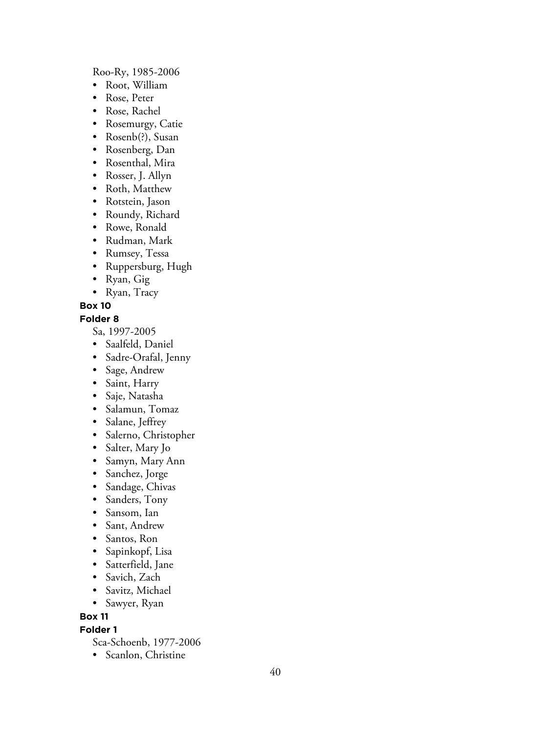#### Roo-Ry, 1985-2006

- Root, William
- Rose, Peter
- Rose, Rachel
- Rosemurgy, Catie
- Rosenb(?), Susan
- Rosenberg, Dan
- Rosenthal, Mira
- Rosser, J. Allyn
- Roth, Matthew
- Rotstein, Jason
- Roundy, Richard
- Rowe, Ronald
- Rudman, Mark
- Rumsey, Tessa
- Ruppersburg, Hugh
- Ryan, Gig
- Ryan, Tracy

### **Box 10**

### **Folder 8**

Sa, 1997-2005

- Saalfeld, Daniel
- Sadre-Orafal, Jenny
- Sage, Andrew
- Saint, Harry
- Saje, Natasha
- Salamun, Tomaz
- Salane, Jeffrey
- Salerno, Christopher
- Salter, Mary Jo
- Samyn, Mary Ann
- Sanchez, Jorge
- Sandage, Chivas
- Sanders, Tony
- Sansom, Ian
- Sant, Andrew
- Santos, Ron
- Sapinkopf, Lisa
- Satterfield, Jane
- Savich, Zach
- Savitz, Michael
- Sawyer, Ryan

### **Box 11**

### **Folder 1**

- Sca-Schoenb, 1977-2006
- Scanlon, Christine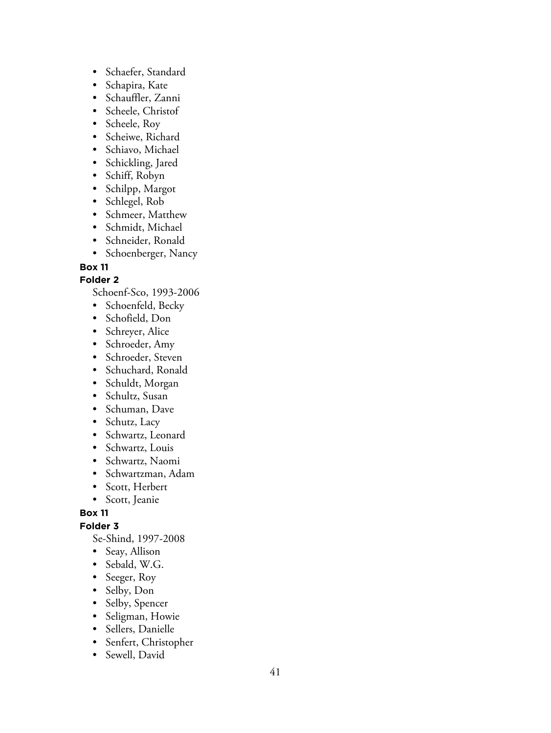- Schaefer, Standard
- Schapira, Kate
- Schauffler, Zanni
- Scheele, Christof
- Scheele, Roy
- Scheiwe, Richard
- Schiavo, Michael
- Schickling, Jared
- Schiff, Robyn
- Schilpp, Margot
- Schlegel, Rob
- Schmeer, Matthew
- Schmidt, Michael
- Schneider, Ronald
- Schoenberger, Nancy

### **Folder 2**

Schoenf-Sco, 1993-2006

- Schoenfeld, Becky
- Schofield, Don
- Schreyer, Alice
- Schroeder, Amy
- Schroeder, Steven
- Schuchard, Ronald
- Schuldt, Morgan
- Schultz, Susan
- Schuman, Dave
- Schutz, Lacy
- Schwartz, Leonard
- Schwartz, Louis
- Schwartz, Naomi
- Schwartzman, Adam
- Scott, Herbert
- Scott, Jeanie

**Box 11**

### **Folder 3**

Se-Shind, 1997-2008

- Seay, Allison
- Sebald, W.G.
- Seeger, Roy
- Selby, Don
- Selby, Spencer
- Seligman, Howie
- Sellers, Danielle
- Senfert, Christopher
- Sewell, David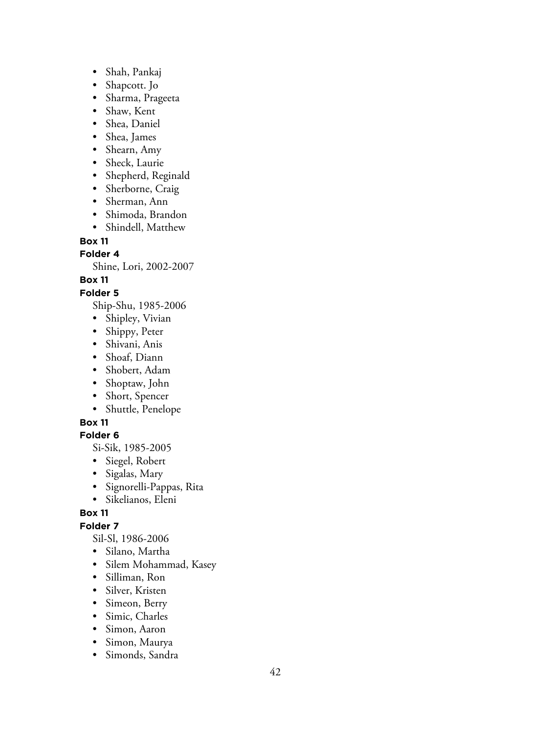- Shah, Pankaj
- Shapcott. Jo
- Sharma, Prageeta
- Shaw, Kent
- Shea, Daniel
- Shea, James
- Shearn, Amy
- Sheck, Laurie
- Shepherd, Reginald
- Sherborne, Craig
- Sherman, Ann
- Shimoda, Brandon
- Shindell, Matthew

**Folder 4**

Shine, Lori, 2002-2007

### **Box 11**

### **Folder 5**

Ship-Shu, 1985-2006

- Shipley, Vivian
- Shippy, Peter
- Shivani, Anis
- Shoaf, Diann
- Shobert, Adam
- Shoptaw, John
- Short, Spencer
- Shuttle, Penelope

### **Box 11**

### **Folder 6**

Si-Sik, 1985-2005

- Siegel, Robert
- Sigalas, Mary
- Signorelli-Pappas, Rita
- Sikelianos, Eleni

### **Box 11**

### **Folder 7**

Sil-Sl, 1986-2006

- Silano, Martha
- Silem Mohammad, Kasey
- Silliman, Ron
- Silver, Kristen
- Simeon, Berry
- Simic, Charles
- Simon, Aaron
- Simon, Maurya
- Simonds, Sandra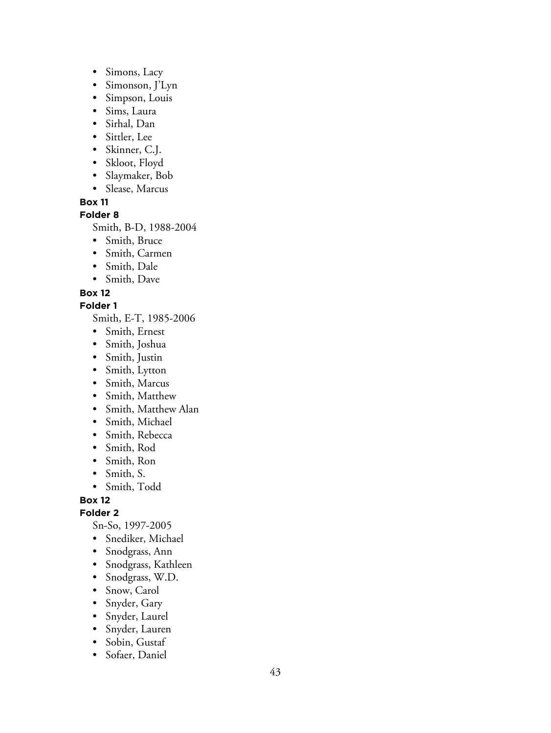- Simons, Lacy
- Simonson, J'Lyn
- Simpson, Louis
- Sims, Laura
- Sirhal, Dan
- Sittler, Lee
- Skinner, C.J.
- Skloot, Floyd
- Slaymaker, Bob
- Slease, Marcus

### **Folder 8**

Smith, B-D, 1988-2004

- Smith, Bruce
- Smith, Carmen
- Smith, Dale
- Smith, Dave

### **Box 12**

### **Folder 1**

Smith, E-T, 1985-2006

- Smith, Ernest
- Smith, Joshua
- Smith, Justin
- Smith, Lytton
- Smith, Marcus
- Smith, Matthew
- Smith, Matthew Alan
- Smith, Michael
- Smith, Rebecca
- Smith, Rod
- Smith, Ron
- Smith, S.
- Smith, Todd

**Box 12**

**Folder 2**

Sn-So, 1997-2005

- Snediker, Michael
- Snodgrass, Ann
- Snodgrass, Kathleen
- Snodgrass, W.D.
- Snow, Carol
- Snyder, Gary
- Snyder, Laurel
- Snyder, Lauren
- Sobin, Gustaf
- Sofaer, Daniel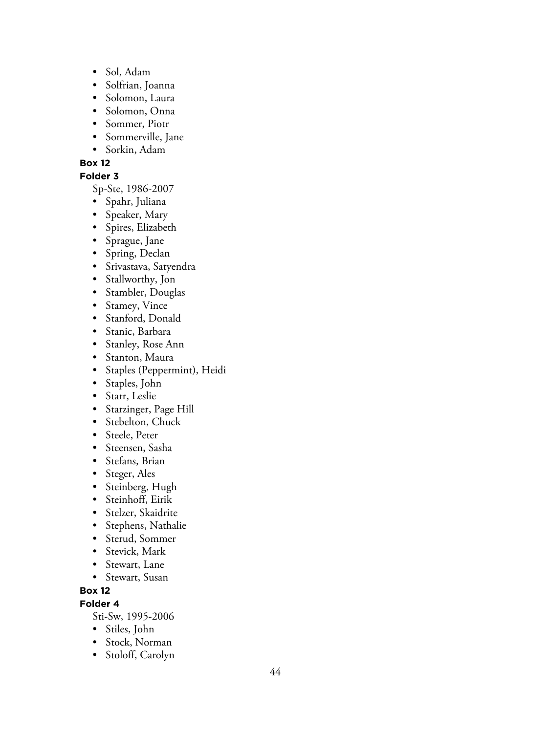- Sol, Adam
- Solfrian, Joanna
- Solomon, Laura
- Solomon, Onna
- Sommer, Piotr
- Sommerville, Jane
- Sorkin, Adam

### **Folder 3**

Sp-Ste, 1986-2007

- Spahr, Juliana
- Speaker, Mary
- Spires, Elizabeth
- Sprague, Jane
- Spring, Declan
- Srivastava, Satyendra
- Stallworthy, Jon
- Stambler, Douglas
- Stamey, Vince
- Stanford, Donald
- Stanic, Barbara
- Stanley, Rose Ann
- Stanton, Maura
- Staples (Peppermint), Heidi
- Staples, John
- Starr, Leslie
- Starzinger, Page Hill
- Stebelton, Chuck
- Steele, Peter
- Steensen, Sasha
- Stefans, Brian
- Steger, Ales
- Steinberg, Hugh
- Steinhoff, Eirik
- Stelzer, Skaidrite
- Stephens, Nathalie
- Sterud, Sommer
- Stevick, Mark
- Stewart, Lane
- Stewart, Susan

### **Box 12**

### **Folder 4**

Sti-Sw, 1995-2006

- Stiles, John
- Stock, Norman
- Stoloff, Carolyn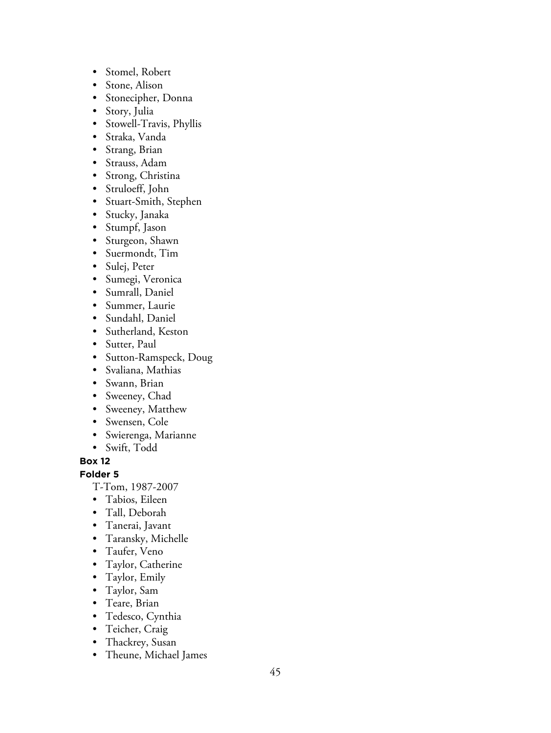- Stomel, Robert
- Stone, Alison
- Stonecipher, Donna
- Story, Julia
- Stowell-Travis, Phyllis
- Straka, Vanda
- Strang, Brian
- Strauss, Adam
- Strong, Christina
- Struloeff, John
- Stuart-Smith, Stephen
- Stucky, Janaka
- Stumpf, Jason
- Sturgeon, Shawn
- Suermondt, Tim
- Sulej, Peter
- Sumegi, Veronica
- Sumrall, Daniel
- Summer, Laurie
- Sundahl, Daniel
- Sutherland, Keston
- Sutter, Paul
- Sutton-Ramspeck, Doug
- Svaliana, Mathias
- Swann, Brian
- Sweeney, Chad
- Sweeney, Matthew
- Swensen, Cole
- Swierenga, Marianne
- Swift, Todd

### **Folder 5**

- T-Tom, 1987-2007
- Tabios, Eileen
- Tall, Deborah
- Tanerai, Javant
- Taransky, Michelle
- Taufer, Veno
- Taylor, Catherine
- Taylor, Emily
- Taylor, Sam
- Teare, Brian
- Tedesco, Cynthia
- Teicher, Craig
- Thackrey, Susan
- Theune, Michael James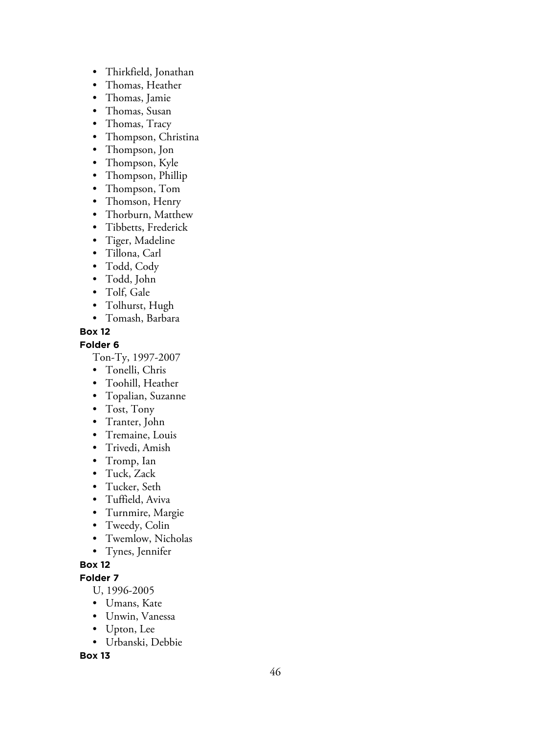- Thirkfield, Jonathan
- Thomas, Heather
- Thomas, Jamie
- Thomas, Susan
- Thomas, Tracy
- Thompson, Christina
- Thompson, Jon
- Thompson, Kyle
- Thompson, Phillip
- Thompson, Tom
- Thomson, Henry
- Thorburn, Matthew
- Tibbetts, Frederick
- Tiger, Madeline
- Tillona, Carl
- Todd, Cody
- Todd, John
- Tolf, Gale
- Tolhurst, Hugh
- Tomash, Barbara

### **Folder 6**

Ton-Ty, 1997-2007

- Tonelli, Chris
- Toohill, Heather
- Topalian, Suzanne
- Tost, Tony
- Tranter, John
- Tremaine, Louis
- Trivedi, Amish
- Tromp, Ian
- Tuck, Zack
- Tucker, Seth
- Tuffield, Aviva
- Turnmire, Margie
- Tweedy, Colin
- Twemlow, Nicholas
- Tynes, Jennifer

### **Box 12**

### **Folder 7**

- U, 1996-2005
- Umans, Kate
- Unwin, Vanessa
- Upton, Lee
- Urbanski, Debbie

**Box 13**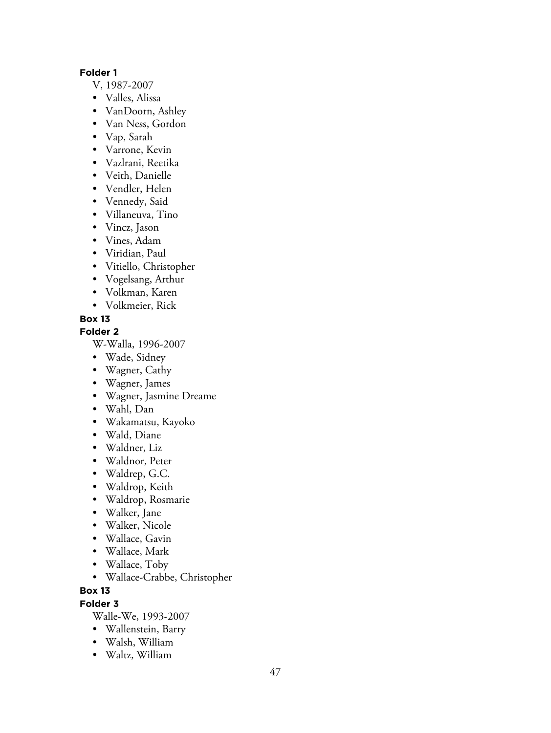### **Folder 1**

- V, 1987-2007
- Valles, Alissa
- VanDoorn, Ashley
- Van Ness, Gordon
- Vap, Sarah
- Varrone, Kevin
- Vazlrani, Reetika
- Veith, Danielle
- Vendler, Helen
- Vennedy, Said
- Villaneuva, Tino
- Vincz, Jason
- Vines, Adam
- Viridian, Paul
- Vitiello, Christopher
- Vogelsang, Arthur
- Volkman, Karen
- Volkmeier, Rick

### **Box 13**

**Folder 2**

W-Walla, 1996-2007

- Wade, Sidney
- Wagner, Cathy
- Wagner, James
- Wagner, Jasmine Dreame
- Wahl, Dan
- Wakamatsu, Kayoko
- Wald, Diane
- Waldner, Liz
- Waldnor, Peter
- Waldrep, G.C.
- Waldrop, Keith
- Waldrop, Rosmarie
- Walker, Jane
- Walker, Nicole
- Wallace, Gavin
- Wallace, Mark
- Wallace, Toby
- Wallace-Crabbe, Christopher

### **Box 13**

**Folder 3**

Walle-We, 1993-2007

- Wallenstein, Barry
- Walsh, William
- Waltz, William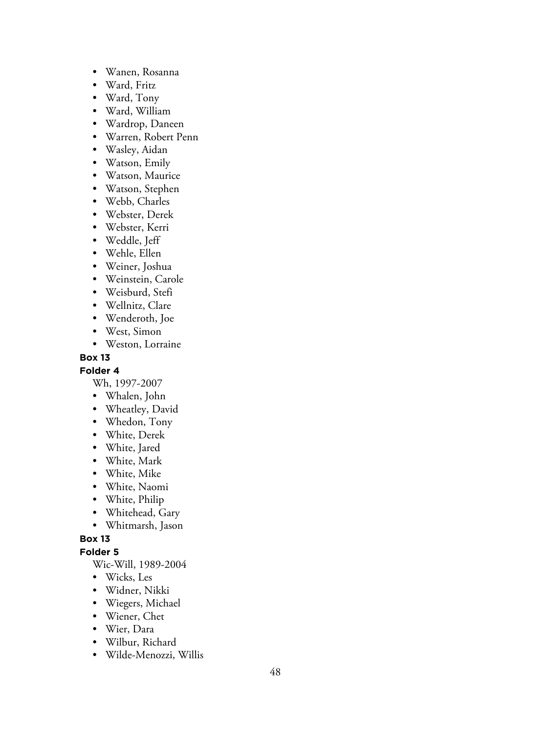- Wanen, Rosanna
- Ward, Fritz
- Ward, Tony
- Ward, William
- Wardrop, Daneen
- Warren, Robert Penn
- Wasley, Aidan
- Watson, Emily
- Watson, Maurice
- Watson, Stephen
- Webb, Charles
- Webster, Derek
- Webster, Kerri
- Weddle, Jeff
- Wehle, Ellen
- Weiner, Joshua
- Weinstein, Carole
- Weisburd, Stefi
- Wellnitz, Clare
- Wenderoth, Joe
- West, Simon
- Weston, Lorraine

#### **Folder 4**

Wh, 1997-2007

- Whalen, John
- Wheatley, David
- Whedon, Tony
- White, Derek
- White, Jared
- White, Mark
- White, Mike
- White, Naomi
- White, Philip
- Whitehead, Gary
- Whitmarsh, Jason

#### **Box 13**

#### **Folder 5**

Wic-Will, 1989-2004

- Wicks, Les
- Widner, Nikki
- Wiegers, Michael
- Wiener, Chet
- Wier, Dara
- Wilbur, Richard
- Wilde-Menozzi, Willis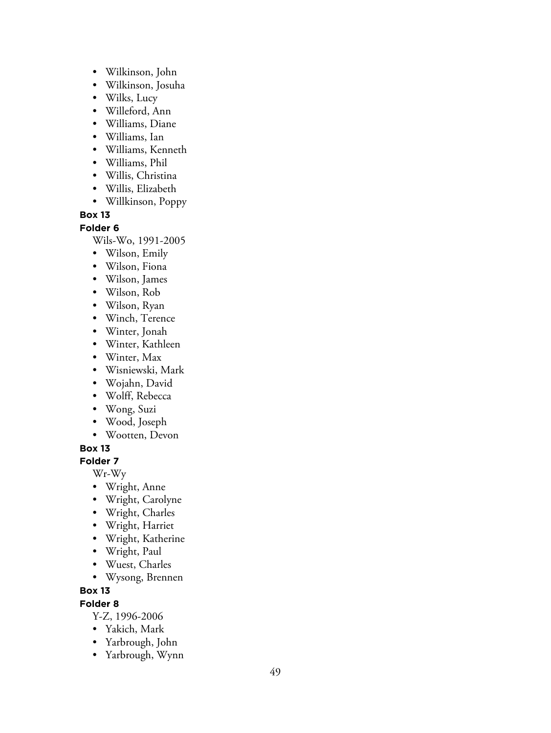- Wilkinson, John
- Wilkinson, Josuha
- Wilks, Lucy
- Willeford, Ann
- Williams, Diane
- Williams, Ian
- Williams, Kenneth
- Williams, Phil
- Willis, Christina
- Willis, Elizabeth
- Willkinson, Poppy

**Folder 6**

Wils-Wo, 1991-2005

- Wilson, Emily
- Wilson, Fiona
- Wilson, James
- Wilson, Rob
- Wilson, Ryan
- Winch, Terence
- Winter, Jonah
- Winter, Kathleen
- Winter, Max
- Wisniewski, Mark
- Wojahn, David
- Wolff, Rebecca
- Wong, Suzi
- Wood, Joseph
- Wootten, Devon

### **Box 13**

**Folder 7**

Wr-Wy

- Wright, Anne
- Wright, Carolyne
- Wright, Charles
- Wright, Harriet
- Wright, Katherine
- Wright, Paul
- Wuest, Charles
- Wysong, Brennen

### **Box 13**

### **Folder 8**

Y-Z, 1996-2006

- Yakich, Mark
- Yarbrough, John
- Yarbrough, Wynn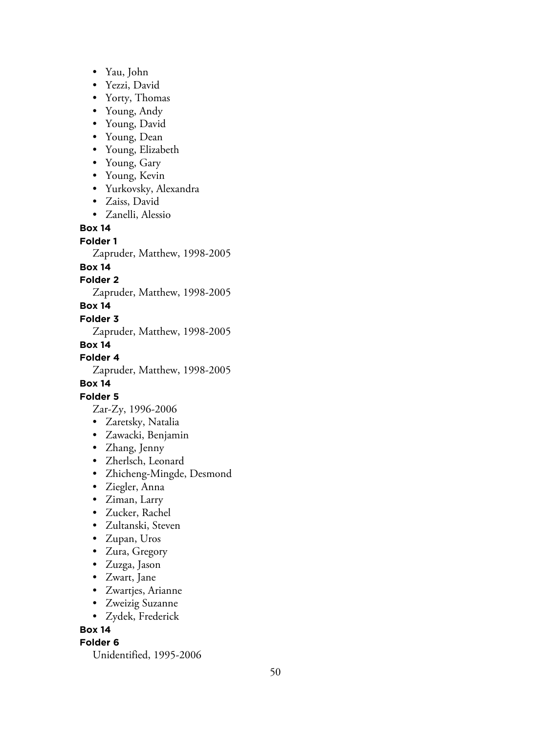- Yau, John
- Yezzi, David
- Yorty, Thomas
- Young, Andy
- Young, David
- Young, Dean
- Young, Elizabeth
- Young, Gary
- Young, Kevin
- Yurkovsky, Alexandra
- Zaiss, David
- Zanelli, Alessio

#### **Folder 1**

Zapruder, Matthew, 1998-2005

### **Box 14**

### **Folder 2**

Zapruder, Matthew, 1998-2005

### **Box 14**

### **Folder 3**

Zapruder, Matthew, 1998-2005

### **Box 14**

**Folder 4**

Zapruder, Matthew, 1998-2005

### **Box 14**

### **Folder 5**

- Zar-Zy, 1996-2006
- Zaretsky, Natalia
- Zawacki, Benjamin
- Zhang, Jenny
- Zherlsch, Leonard
- Zhicheng-Mingde, Desmond
- Ziegler, Anna
- Ziman, Larry
- Zucker, Rachel
- Zultanski, Steven
- Zupan, Uros
- Zura, Gregory
- Zuzga, Jason
- Zwart, Jane
- Zwartjes, Arianne
- Zweizig Suzanne
- Zydek, Frederick

**Box 14**

#### **Folder 6**

Unidentified, 1995-2006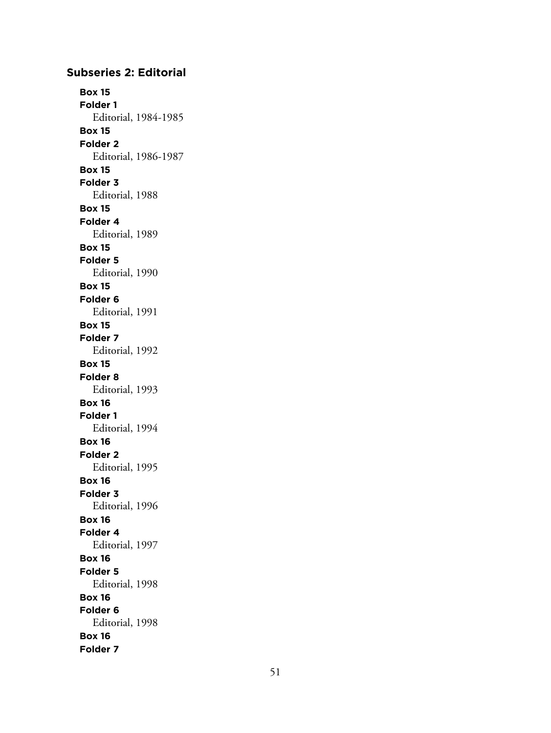### **Subseries 2: Editorial Box 15 Folder 1** Editorial, 1984-1985 **Box 15 Folder 2** Editorial, 1986-1987 **Box 15 Folder 3** Editorial, 1988 **Box 15 Folder 4** Editorial, 1989 **Box 15 Folder 5** Editorial, 1990 **Box 15 Folder 6** Editorial, 1991 **Box 15 Folder 7** Editorial, 1992 **Box 15 Folder 8** Editorial, 1993 **Box 16 Folder 1** Editorial, 1994 **Box 16 Folder 2** Editorial, 1995 **Box 16 Folder 3** Editorial, 1996 **Box 16 Folder 4** Editorial, 1997 **Box 16 Folder 5** Editorial, 1998 **Box 16 Folder 6** Editorial, 1998 **Box 16 Folder 7**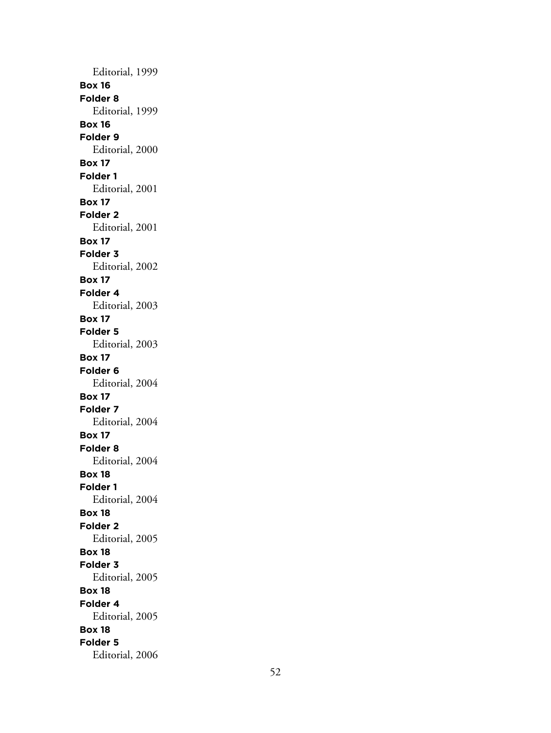Editorial, 1999 **Box 16 Folder 8** Editorial, 1999 **Box 16 Folder 9** Editorial, 2000 **Box 17 Folder 1** Editorial, 2001 **Box 17 Folder 2** Editorial, 2001 **Box 17 Folder 3** Editorial, 2002 **Box 17 Folder 4** Editorial, 2003 **Box 17 Folder 5** Editorial, 2003 **Box 17 Folder 6** Editorial, 2004 **Box 17 Folder 7** Editorial, 2004 **Box 17 Folder 8** Editorial, 2004 **Box 18 Folder 1** Editorial, 2004 **Box 18 Folder 2** Editorial, 2005 **Box 18 Folder 3** Editorial, 2005 **Box 18 Folder 4** Editorial, 2005 **Box 18 Folder 5** Editorial, 2006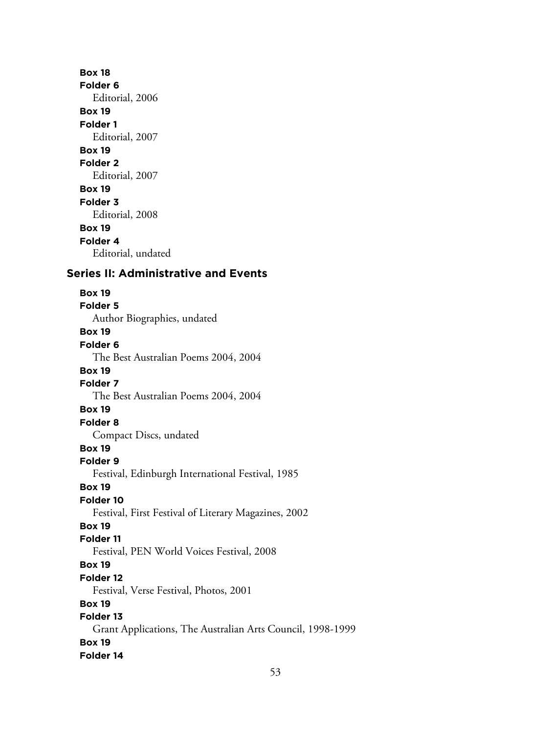**Box 18 Folder 6** Editorial, 2006 **Box 19 Folder 1** Editorial, 2007 **Box 19 Folder 2** Editorial, 2007 **Box 19 Folder 3** Editorial, 2008 **Box 19 Folder 4** Editorial, undated **Series II: Administrative and Events Box 19 Folder 5** Author Biographies, undated **Box 19 Folder 6** The Best Australian Poems 2004, 2004 **Box 19 Folder 7** The Best Australian Poems 2004, 2004 **Box 19 Folder 8** Compact Discs, undated **Box 19 Folder 9** Festival, Edinburgh International Festival, 1985 **Box 19 Folder 10** Festival, First Festival of Literary Magazines, 2002 **Box 19 Folder 11** Festival, PEN World Voices Festival, 2008 **Box 19 Folder 12** Festival, Verse Festival, Photos, 2001 **Box 19 Folder 13** Grant Applications, The Australian Arts Council, 1998-1999

**Box 19 Folder 14**

53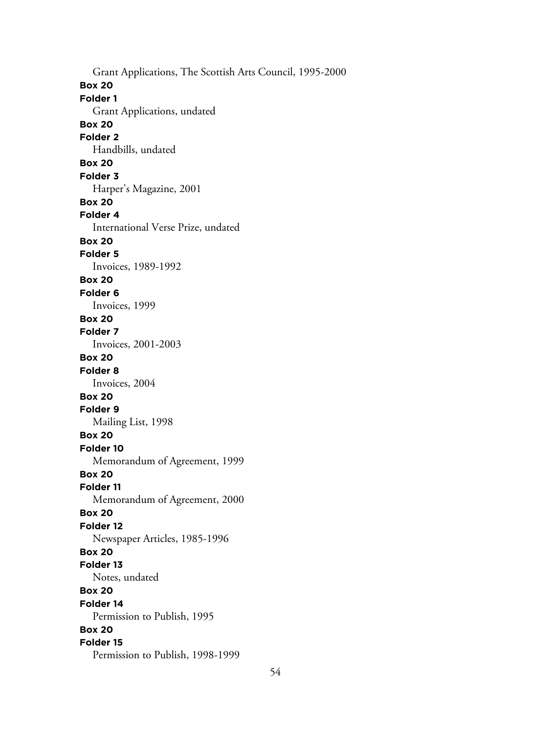Grant Applications, The Scottish Arts Council, 1995-2000 **Box 20 Folder 1** Grant Applications, undated **Box 20 Folder 2** Handbills, undated **Box 20 Folder 3** Harper's Magazine, 2001 **Box 20 Folder 4** International Verse Prize, undated **Box 20 Folder 5** Invoices, 1989-1992 **Box 20 Folder 6** Invoices, 1999 **Box 20 Folder 7** Invoices, 2001-2003 **Box 20 Folder 8** Invoices, 2004 **Box 20 Folder 9** Mailing List, 1998 **Box 20 Folder 10** Memorandum of Agreement, 1999 **Box 20 Folder 11** Memorandum of Agreement, 2000 **Box 20 Folder 12** Newspaper Articles, 1985-1996 **Box 20 Folder 13** Notes, undated **Box 20 Folder 14** Permission to Publish, 1995 **Box 20 Folder 15** Permission to Publish, 1998-1999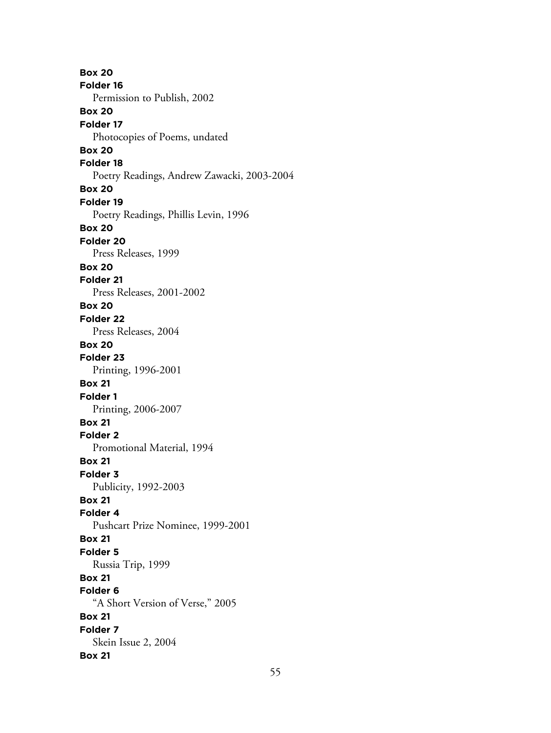**Box 20 Folder 16** Permission to Publish, 2002 **Box 20 Folder 17** Photocopies of Poems, undated **Box 20 Folder 18** Poetry Readings, Andrew Zawacki, 2003-2004 **Box 20 Folder 19** Poetry Readings, Phillis Levin, 1996 **Box 20 Folder 20** Press Releases, 1999 **Box 20 Folder 21** Press Releases, 2001-2002 **Box 20 Folder 22** Press Releases, 2004 **Box 20 Folder 23** Printing, 1996-2001 **Box 21 Folder 1** Printing, 2006-2007 **Box 21 Folder 2** Promotional Material, 1994 **Box 21 Folder 3** Publicity, 1992-2003 **Box 21 Folder 4** Pushcart Prize Nominee, 1999-2001 **Box 21 Folder 5** Russia Trip, 1999 **Box 21 Folder 6** "A Short Version of Verse," 2005 **Box 21 Folder 7** Skein Issue 2, 2004 **Box 21**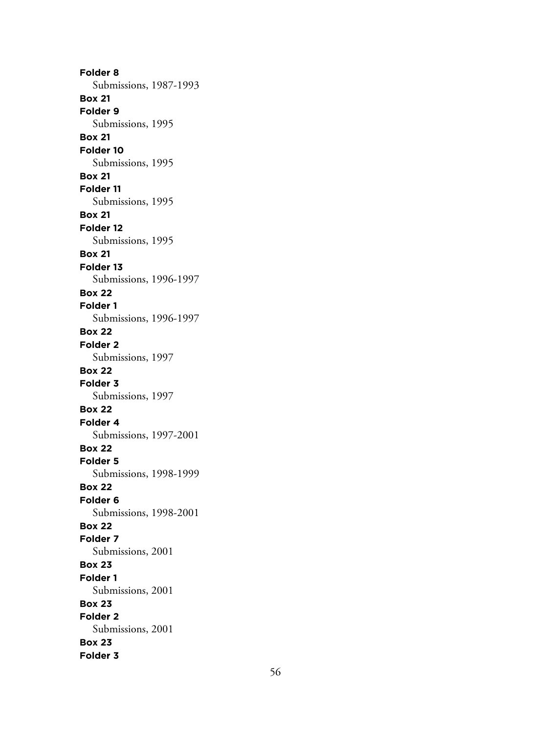**Folder 8** Submissions, 1987-1993 **Box 21 Folder 9** Submissions, 1995 **Box 21 Folder 10** Submissions, 1995 **Box 21 Folder 11** Submissions, 1995 **Box 21 Folder 12** Submissions, 1995 **Box 21 Folder 13** Submissions, 1996-1997 **Box 22 Folder 1** Submissions, 1996-1997 **Box 22 Folder 2** Submissions, 1997 **Box 22 Folder 3** Submissions, 1997 **Box 22 Folder 4** Submissions, 1997-2001 **Box 22 Folder 5** Submissions, 1998-1999 **Box 22 Folder 6** Submissions, 1998-2001 **Box 22 Folder 7** Submissions, 2001 **Box 23 Folder 1** Submissions, 2001 **Box 23 Folder 2** Submissions, 2001 **Box 23 Folder 3**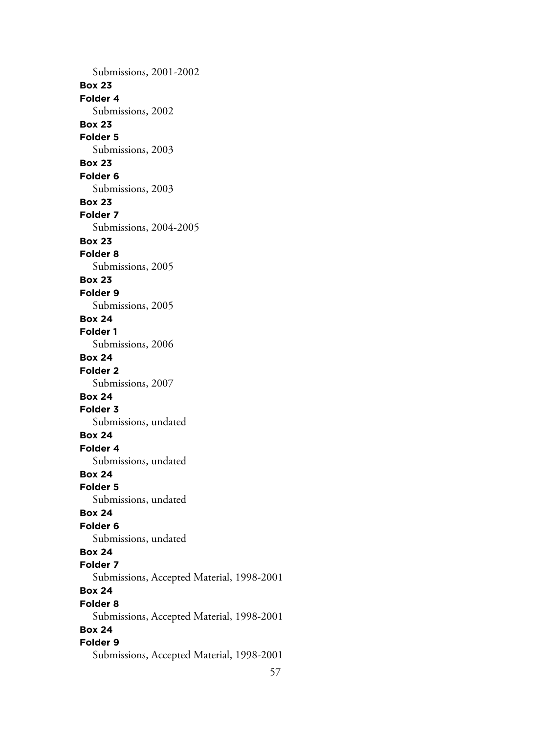Submissions, 2001-2002 **Box 23 Folder 4** Submissions, 2002 **Box 23 Folder 5** Submissions, 2003 **Box 23 Folder 6** Submissions, 2003 **Box 23 Folder 7** Submissions, 2004-2005 **Box 23 Folder 8** Submissions, 2005 **Box 23 Folder 9** Submissions, 2005 **Box 24 Folder 1** Submissions, 2006 **Box 24 Folder 2** Submissions, 2007 **Box 24 Folder 3** Submissions, undated **Box 24 Folder 4** Submissions, undated **Box 24 Folder 5** Submissions, undated **Box 24 Folder 6** Submissions, undated **Box 24 Folder 7** Submissions, Accepted Material, 1998-2001 **Box 24 Folder 8** Submissions, Accepted Material, 1998-2001 **Box 24 Folder 9** Submissions, Accepted Material, 1998-2001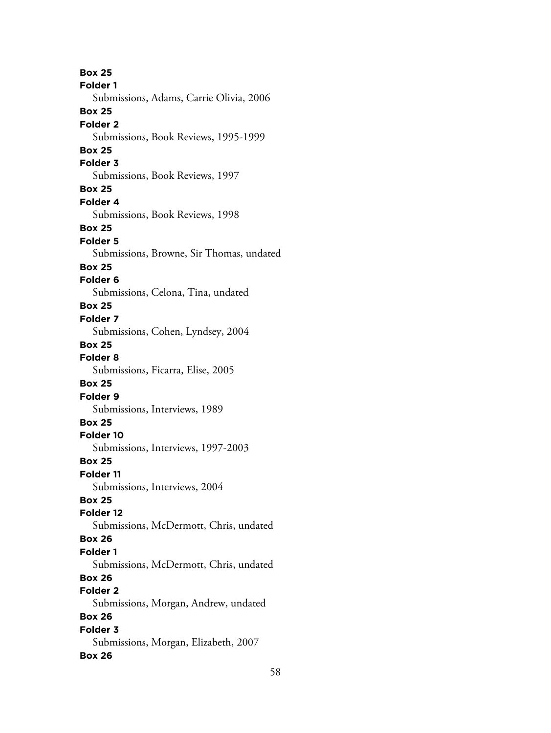**Box 25 Folder 1** Submissions, Adams, Carrie Olivia, 2006 **Box 25 Folder 2** Submissions, Book Reviews, 1995-1999 **Box 25 Folder 3** Submissions, Book Reviews, 1997 **Box 25 Folder 4** Submissions, Book Reviews, 1998 **Box 25 Folder 5** Submissions, Browne, Sir Thomas, undated **Box 25 Folder 6** Submissions, Celona, Tina, undated **Box 25 Folder 7** Submissions, Cohen, Lyndsey, 2004 **Box 25 Folder 8** Submissions, Ficarra, Elise, 2005 **Box 25 Folder 9** Submissions, Interviews, 1989 **Box 25 Folder 10** Submissions, Interviews, 1997-2003 **Box 25 Folder 11** Submissions, Interviews, 2004 **Box 25 Folder 12** Submissions, McDermott, Chris, undated **Box 26 Folder 1** Submissions, McDermott, Chris, undated **Box 26 Folder 2** Submissions, Morgan, Andrew, undated **Box 26 Folder 3** Submissions, Morgan, Elizabeth, 2007 **Box 26**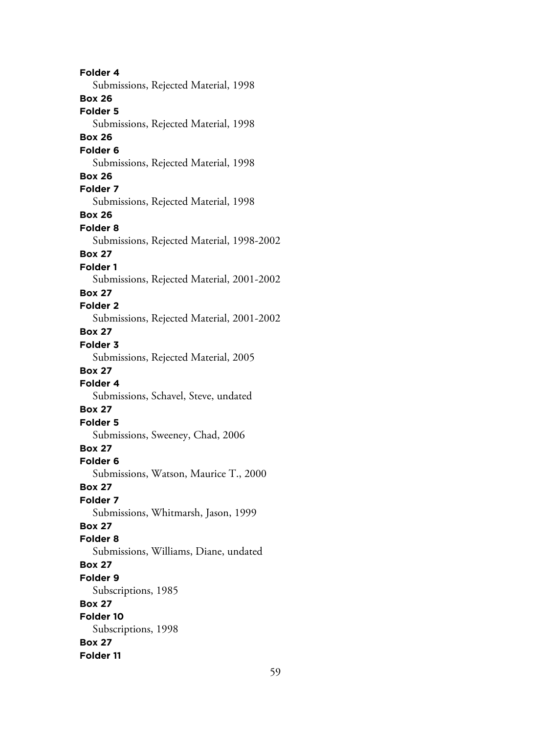**Folder 4** Submissions, Rejected Material, 1998 **Box 26 Folder 5** Submissions, Rejected Material, 1998 **Box 26 Folder 6** Submissions, Rejected Material, 1998 **Box 26 Folder 7** Submissions, Rejected Material, 1998 **Box 26 Folder 8** Submissions, Rejected Material, 1998-2002 **Box 27 Folder 1** Submissions, Rejected Material, 2001-2002 **Box 27 Folder 2** Submissions, Rejected Material, 2001-2002 **Box 27 Folder 3** Submissions, Rejected Material, 2005 **Box 27 Folder 4** Submissions, Schavel, Steve, undated **Box 27 Folder 5** Submissions, Sweeney, Chad, 2006 **Box 27 Folder 6** Submissions, Watson, Maurice T., 2000 **Box 27 Folder 7** Submissions, Whitmarsh, Jason, 1999 **Box 27 Folder 8** Submissions, Williams, Diane, undated **Box 27 Folder 9** Subscriptions, 1985 **Box 27 Folder 10** Subscriptions, 1998 **Box 27 Folder 11**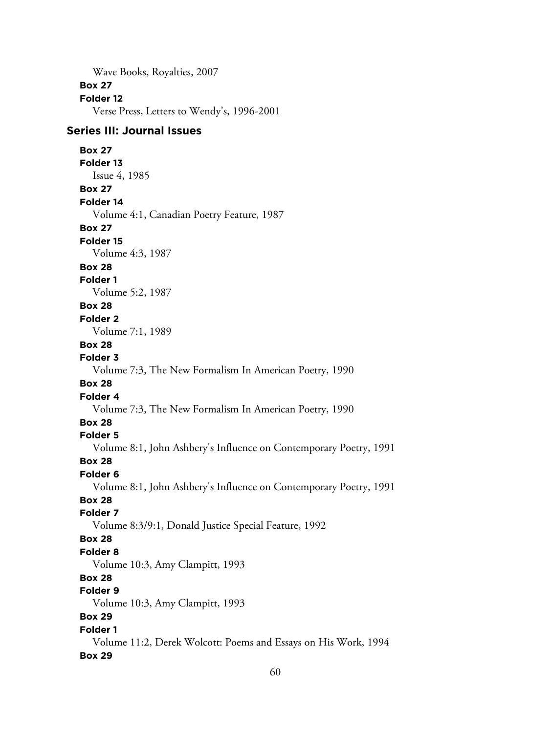Wave Books, Royalties, 2007

#### **Box 27**

#### **Folder 12**

Verse Press, Letters to Wendy's, 1996-2001

### **Series III: Journal Issues**

### **Box 27**

**Folder 13**

## Issue 4, 1985

**Box 27**

### **Folder 14**

Volume 4:1, Canadian Poetry Feature, 1987

### **Box 27**

**Folder 15**

Volume 4:3, 1987

### **Box 28**

**Folder 1**

Volume 5:2, 1987

### **Box 28**

#### **Folder 2**

Volume 7:1, 1989

#### **Box 28**

#### **Folder 3**

Volume 7:3, The New Formalism In American Poetry, 1990

### **Box 28**

#### **Folder 4**

Volume 7:3, The New Formalism In American Poetry, 1990

### **Box 28**

### **Folder 5**

Volume 8:1, John Ashbery's Influence on Contemporary Poetry, 1991

### **Box 28**

### **Folder 6**

Volume 8:1, John Ashbery's Influence on Contemporary Poetry, 1991

### **Box 28**

### **Folder 7**

Volume 8:3/9:1, Donald Justice Special Feature, 1992

### **Box 28**

### **Folder 8**

Volume 10:3, Amy Clampitt, 1993

### **Box 28**

### **Folder 9**

Volume 10:3, Amy Clampitt, 1993

### **Box 29**

### **Folder 1**

Volume 11:2, Derek Wolcott: Poems and Essays on His Work, 1994 **Box 29**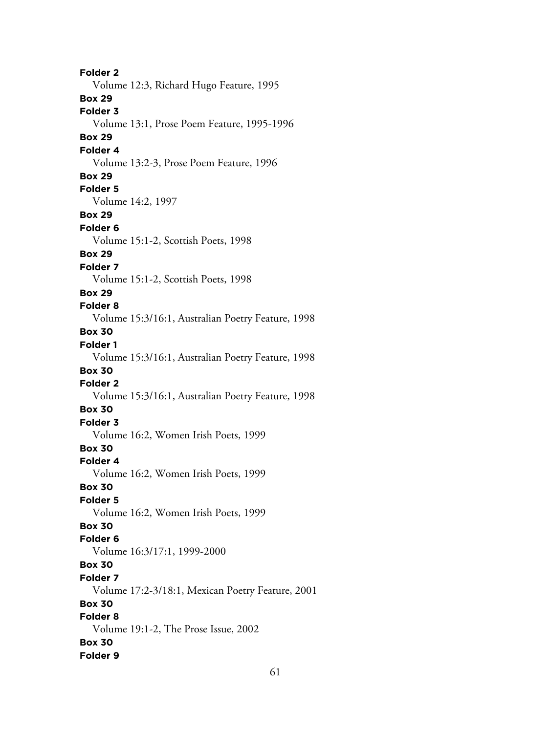**Folder 2** Volume 12:3, Richard Hugo Feature, 1995 **Box 29 Folder 3** Volume 13:1, Prose Poem Feature, 1995-1996 **Box 29 Folder 4** Volume 13:2-3, Prose Poem Feature, 1996 **Box 29 Folder 5** Volume 14:2, 1997 **Box 29 Folder 6** Volume 15:1-2, Scottish Poets, 1998 **Box 29 Folder 7** Volume 15:1-2, Scottish Poets, 1998 **Box 29 Folder 8** Volume 15:3/16:1, Australian Poetry Feature, 1998 **Box 30 Folder 1** Volume 15:3/16:1, Australian Poetry Feature, 1998 **Box 30 Folder 2** Volume 15:3/16:1, Australian Poetry Feature, 1998 **Box 30 Folder 3** Volume 16:2, Women Irish Poets, 1999 **Box 30 Folder 4** Volume 16:2, Women Irish Poets, 1999 **Box 30 Folder 5** Volume 16:2, Women Irish Poets, 1999 **Box 30 Folder 6** Volume 16:3/17:1, 1999-2000 **Box 30 Folder 7** Volume 17:2-3/18:1, Mexican Poetry Feature, 2001 **Box 30 Folder 8** Volume 19:1-2, The Prose Issue, 2002 **Box 30 Folder 9**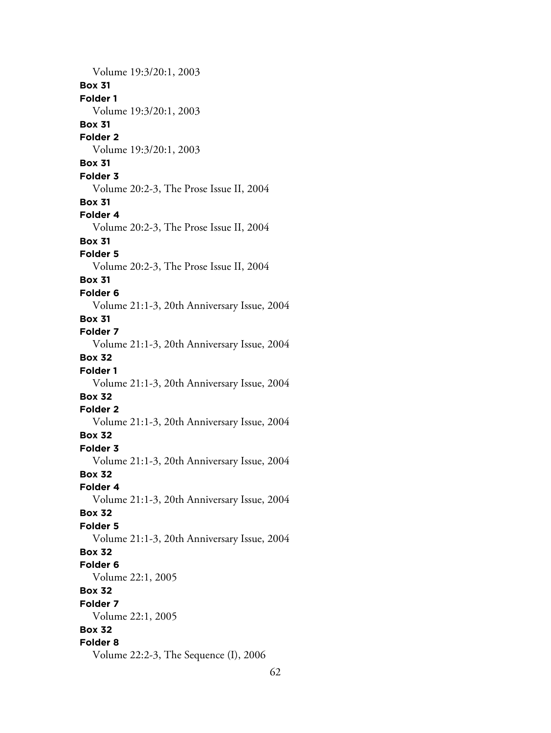Volume 19:3/20:1, 2003 **Box 31 Folder 1** Volume 19:3/20:1, 2003 **Box 31 Folder 2** Volume 19:3/20:1, 2003 **Box 31 Folder 3** Volume 20:2-3, The Prose Issue II, 2004 **Box 31 Folder 4** Volume 20:2-3, The Prose Issue II, 2004 **Box 31 Folder 5** Volume 20:2-3, The Prose Issue II, 2004 **Box 31 Folder 6** Volume 21:1-3, 20th Anniversary Issue, 2004 **Box 31 Folder 7** Volume 21:1-3, 20th Anniversary Issue, 2004 **Box 32 Folder 1** Volume 21:1-3, 20th Anniversary Issue, 2004 **Box 32 Folder 2** Volume 21:1-3, 20th Anniversary Issue, 2004 **Box 32 Folder 3** Volume 21:1-3, 20th Anniversary Issue, 2004 **Box 32 Folder 4** Volume 21:1-3, 20th Anniversary Issue, 2004 **Box 32 Folder 5** Volume 21:1-3, 20th Anniversary Issue, 2004 **Box 32 Folder 6** Volume 22:1, 2005 **Box 32 Folder 7** Volume 22:1, 2005 **Box 32 Folder 8** Volume 22:2-3, The Sequence (I), 2006